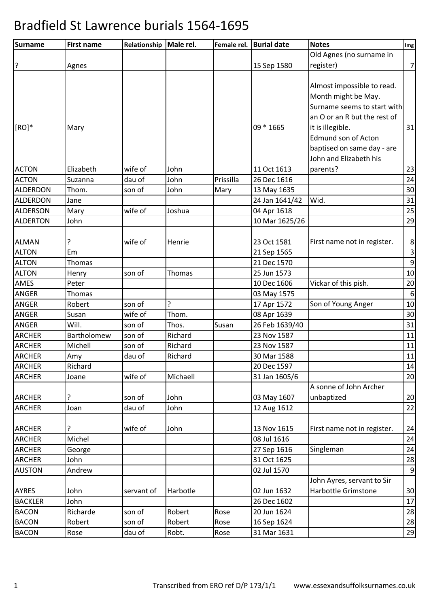| Old Agnes (no surname in<br>?<br>15 Sep 1580<br>$\overline{7}$<br>register)<br>Agnes<br>Almost impossible to read.<br>Month might be May.<br>Surname seems to start with<br>an O or an R but the rest of<br>$[RO]^*$<br>09 * 1665<br>it is illegible.<br>31<br>Mary<br><b>Edmund son of Acton</b><br>baptised on same day - are<br>John and Elizabeth his<br>Elizabeth<br>wife of<br>parents?<br>23<br>John<br>11 Oct 1613<br><b>ACTON</b><br>Prissilla<br>24<br>dau of<br>John<br>26 Dec 1616<br>Suzanna<br>30<br><b>ALDERDON</b><br>Thom.<br>son of<br>John<br>13 May 1635<br>Mary<br>Wid.<br>31<br>Jane<br>24 Jan 1641/42<br>25<br>wife of<br>Joshua<br>04 Apr 1618<br>Mary<br>John<br>10 Mar 1625/26<br>29<br>ŗ<br>8<br>wife of<br><b>ALMAN</b><br>Henrie<br>23 Oct 1581<br>First name not in register.<br>Em<br><b>ALTON</b><br>$\mathsf 3$<br>21 Sep 1565<br>9<br><b>ALTON</b><br>Thomas<br>21 Dec 1570<br><b>ALTON</b><br>25 Jun 1573<br>10<br>son of<br>Thomas<br>Henry<br>AMES<br>10 Dec 1606<br>Vickar of this pish.<br>20<br>Peter<br>$6\phantom{1}6$<br>ANGER<br>Thomas<br>03 May 1575<br>5.<br>ANGER<br>Son of Young Anger<br>10<br>Robert<br>son of<br>17 Apr 1572<br>30<br>wife of<br>Thom.<br>Susan<br>08 Apr 1639<br>ANGER<br>31<br>Will.<br>son of<br>Thos.<br>Susan<br>26 Feb 1639/40<br>Richard<br>Bartholomew<br>son of<br>23 Nov 1587<br>11<br>Richard<br><b>ARCHER</b><br>Michell<br>son of<br>23 Nov 1587<br>11<br>Richard<br>11<br>dau of<br>30 Mar 1588<br>Amy<br>Richard<br>14<br>20 Dec 1597<br>wife of<br>Michaell<br>31 Jan 1605/6<br>20<br>Joane<br>A sonne of John Archer<br>unbaptized<br>20<br>?<br>John<br>03 May 1607<br>son of<br>John<br><b>ARCHER</b><br>Joan<br>dau of<br>22<br>12 Aug 1612<br>?<br>wife of<br>13 Nov 1615<br>First name not in register.<br>John<br>24<br><b>ARCHER</b><br>Michel<br>08 Jul 1616<br>24<br><b>ARCHER</b><br>27 Sep 1616<br>Singleman<br>24<br>George<br><b>ARCHER</b><br>31 Oct 1625<br>John<br>28<br>9<br>Andrew<br>02 Jul 1570<br>John Ayres, servant to Sir<br>02 Jun 1632<br>Harbottle Grimstone<br><b>AYRES</b><br>John<br>Harbotle<br>30<br>servant of<br>26 Dec 1602<br><b>BACKLER</b><br>John<br>17<br>Richarde<br><b>BACON</b><br>son of<br>Robert<br>Rose<br>20 Jun 1624<br>28<br>Robert<br>Robert<br>28<br><b>BACON</b><br>son of<br>Rose<br>16 Sep 1624<br>29<br><b>BACON</b><br>dau of<br>Robt.<br>31 Mar 1631<br>Rose<br>Rose | Surname         | <b>First name</b> | Relationship   Male rel. | Female rel. | <b>Burial date</b> | <b>Notes</b> | Img |
|---------------------------------------------------------------------------------------------------------------------------------------------------------------------------------------------------------------------------------------------------------------------------------------------------------------------------------------------------------------------------------------------------------------------------------------------------------------------------------------------------------------------------------------------------------------------------------------------------------------------------------------------------------------------------------------------------------------------------------------------------------------------------------------------------------------------------------------------------------------------------------------------------------------------------------------------------------------------------------------------------------------------------------------------------------------------------------------------------------------------------------------------------------------------------------------------------------------------------------------------------------------------------------------------------------------------------------------------------------------------------------------------------------------------------------------------------------------------------------------------------------------------------------------------------------------------------------------------------------------------------------------------------------------------------------------------------------------------------------------------------------------------------------------------------------------------------------------------------------------------------------------------------------------------------------------------------------------------------------------------------------------------------------------------------------------------------------------------------------------------------------------------------------------------------------------------------------------------------------------------------------------------------------------------------------------------------------------------------------------------------------------------------------------------|-----------------|-------------------|--------------------------|-------------|--------------------|--------------|-----|
|                                                                                                                                                                                                                                                                                                                                                                                                                                                                                                                                                                                                                                                                                                                                                                                                                                                                                                                                                                                                                                                                                                                                                                                                                                                                                                                                                                                                                                                                                                                                                                                                                                                                                                                                                                                                                                                                                                                                                                                                                                                                                                                                                                                                                                                                                                                                                                                                                     |                 |                   |                          |             |                    |              |     |
|                                                                                                                                                                                                                                                                                                                                                                                                                                                                                                                                                                                                                                                                                                                                                                                                                                                                                                                                                                                                                                                                                                                                                                                                                                                                                                                                                                                                                                                                                                                                                                                                                                                                                                                                                                                                                                                                                                                                                                                                                                                                                                                                                                                                                                                                                                                                                                                                                     |                 |                   |                          |             |                    |              |     |
|                                                                                                                                                                                                                                                                                                                                                                                                                                                                                                                                                                                                                                                                                                                                                                                                                                                                                                                                                                                                                                                                                                                                                                                                                                                                                                                                                                                                                                                                                                                                                                                                                                                                                                                                                                                                                                                                                                                                                                                                                                                                                                                                                                                                                                                                                                                                                                                                                     |                 |                   |                          |             |                    |              |     |
|                                                                                                                                                                                                                                                                                                                                                                                                                                                                                                                                                                                                                                                                                                                                                                                                                                                                                                                                                                                                                                                                                                                                                                                                                                                                                                                                                                                                                                                                                                                                                                                                                                                                                                                                                                                                                                                                                                                                                                                                                                                                                                                                                                                                                                                                                                                                                                                                                     |                 |                   |                          |             |                    |              |     |
|                                                                                                                                                                                                                                                                                                                                                                                                                                                                                                                                                                                                                                                                                                                                                                                                                                                                                                                                                                                                                                                                                                                                                                                                                                                                                                                                                                                                                                                                                                                                                                                                                                                                                                                                                                                                                                                                                                                                                                                                                                                                                                                                                                                                                                                                                                                                                                                                                     |                 |                   |                          |             |                    |              |     |
|                                                                                                                                                                                                                                                                                                                                                                                                                                                                                                                                                                                                                                                                                                                                                                                                                                                                                                                                                                                                                                                                                                                                                                                                                                                                                                                                                                                                                                                                                                                                                                                                                                                                                                                                                                                                                                                                                                                                                                                                                                                                                                                                                                                                                                                                                                                                                                                                                     |                 |                   |                          |             |                    |              |     |
|                                                                                                                                                                                                                                                                                                                                                                                                                                                                                                                                                                                                                                                                                                                                                                                                                                                                                                                                                                                                                                                                                                                                                                                                                                                                                                                                                                                                                                                                                                                                                                                                                                                                                                                                                                                                                                                                                                                                                                                                                                                                                                                                                                                                                                                                                                                                                                                                                     |                 |                   |                          |             |                    |              |     |
|                                                                                                                                                                                                                                                                                                                                                                                                                                                                                                                                                                                                                                                                                                                                                                                                                                                                                                                                                                                                                                                                                                                                                                                                                                                                                                                                                                                                                                                                                                                                                                                                                                                                                                                                                                                                                                                                                                                                                                                                                                                                                                                                                                                                                                                                                                                                                                                                                     |                 |                   |                          |             |                    |              |     |
|                                                                                                                                                                                                                                                                                                                                                                                                                                                                                                                                                                                                                                                                                                                                                                                                                                                                                                                                                                                                                                                                                                                                                                                                                                                                                                                                                                                                                                                                                                                                                                                                                                                                                                                                                                                                                                                                                                                                                                                                                                                                                                                                                                                                                                                                                                                                                                                                                     |                 |                   |                          |             |                    |              |     |
|                                                                                                                                                                                                                                                                                                                                                                                                                                                                                                                                                                                                                                                                                                                                                                                                                                                                                                                                                                                                                                                                                                                                                                                                                                                                                                                                                                                                                                                                                                                                                                                                                                                                                                                                                                                                                                                                                                                                                                                                                                                                                                                                                                                                                                                                                                                                                                                                                     |                 |                   |                          |             |                    |              |     |
|                                                                                                                                                                                                                                                                                                                                                                                                                                                                                                                                                                                                                                                                                                                                                                                                                                                                                                                                                                                                                                                                                                                                                                                                                                                                                                                                                                                                                                                                                                                                                                                                                                                                                                                                                                                                                                                                                                                                                                                                                                                                                                                                                                                                                                                                                                                                                                                                                     |                 |                   |                          |             |                    |              |     |
|                                                                                                                                                                                                                                                                                                                                                                                                                                                                                                                                                                                                                                                                                                                                                                                                                                                                                                                                                                                                                                                                                                                                                                                                                                                                                                                                                                                                                                                                                                                                                                                                                                                                                                                                                                                                                                                                                                                                                                                                                                                                                                                                                                                                                                                                                                                                                                                                                     | <b>ACTON</b>    |                   |                          |             |                    |              |     |
|                                                                                                                                                                                                                                                                                                                                                                                                                                                                                                                                                                                                                                                                                                                                                                                                                                                                                                                                                                                                                                                                                                                                                                                                                                                                                                                                                                                                                                                                                                                                                                                                                                                                                                                                                                                                                                                                                                                                                                                                                                                                                                                                                                                                                                                                                                                                                                                                                     |                 |                   |                          |             |                    |              |     |
|                                                                                                                                                                                                                                                                                                                                                                                                                                                                                                                                                                                                                                                                                                                                                                                                                                                                                                                                                                                                                                                                                                                                                                                                                                                                                                                                                                                                                                                                                                                                                                                                                                                                                                                                                                                                                                                                                                                                                                                                                                                                                                                                                                                                                                                                                                                                                                                                                     |                 |                   |                          |             |                    |              |     |
|                                                                                                                                                                                                                                                                                                                                                                                                                                                                                                                                                                                                                                                                                                                                                                                                                                                                                                                                                                                                                                                                                                                                                                                                                                                                                                                                                                                                                                                                                                                                                                                                                                                                                                                                                                                                                                                                                                                                                                                                                                                                                                                                                                                                                                                                                                                                                                                                                     | <b>ALDERDON</b> |                   |                          |             |                    |              |     |
|                                                                                                                                                                                                                                                                                                                                                                                                                                                                                                                                                                                                                                                                                                                                                                                                                                                                                                                                                                                                                                                                                                                                                                                                                                                                                                                                                                                                                                                                                                                                                                                                                                                                                                                                                                                                                                                                                                                                                                                                                                                                                                                                                                                                                                                                                                                                                                                                                     | <b>ALDERSON</b> |                   |                          |             |                    |              |     |
|                                                                                                                                                                                                                                                                                                                                                                                                                                                                                                                                                                                                                                                                                                                                                                                                                                                                                                                                                                                                                                                                                                                                                                                                                                                                                                                                                                                                                                                                                                                                                                                                                                                                                                                                                                                                                                                                                                                                                                                                                                                                                                                                                                                                                                                                                                                                                                                                                     | <b>ALDERTON</b> |                   |                          |             |                    |              |     |
|                                                                                                                                                                                                                                                                                                                                                                                                                                                                                                                                                                                                                                                                                                                                                                                                                                                                                                                                                                                                                                                                                                                                                                                                                                                                                                                                                                                                                                                                                                                                                                                                                                                                                                                                                                                                                                                                                                                                                                                                                                                                                                                                                                                                                                                                                                                                                                                                                     |                 |                   |                          |             |                    |              |     |
|                                                                                                                                                                                                                                                                                                                                                                                                                                                                                                                                                                                                                                                                                                                                                                                                                                                                                                                                                                                                                                                                                                                                                                                                                                                                                                                                                                                                                                                                                                                                                                                                                                                                                                                                                                                                                                                                                                                                                                                                                                                                                                                                                                                                                                                                                                                                                                                                                     |                 |                   |                          |             |                    |              |     |
|                                                                                                                                                                                                                                                                                                                                                                                                                                                                                                                                                                                                                                                                                                                                                                                                                                                                                                                                                                                                                                                                                                                                                                                                                                                                                                                                                                                                                                                                                                                                                                                                                                                                                                                                                                                                                                                                                                                                                                                                                                                                                                                                                                                                                                                                                                                                                                                                                     |                 |                   |                          |             |                    |              |     |
|                                                                                                                                                                                                                                                                                                                                                                                                                                                                                                                                                                                                                                                                                                                                                                                                                                                                                                                                                                                                                                                                                                                                                                                                                                                                                                                                                                                                                                                                                                                                                                                                                                                                                                                                                                                                                                                                                                                                                                                                                                                                                                                                                                                                                                                                                                                                                                                                                     |                 |                   |                          |             |                    |              |     |
|                                                                                                                                                                                                                                                                                                                                                                                                                                                                                                                                                                                                                                                                                                                                                                                                                                                                                                                                                                                                                                                                                                                                                                                                                                                                                                                                                                                                                                                                                                                                                                                                                                                                                                                                                                                                                                                                                                                                                                                                                                                                                                                                                                                                                                                                                                                                                                                                                     |                 |                   |                          |             |                    |              |     |
|                                                                                                                                                                                                                                                                                                                                                                                                                                                                                                                                                                                                                                                                                                                                                                                                                                                                                                                                                                                                                                                                                                                                                                                                                                                                                                                                                                                                                                                                                                                                                                                                                                                                                                                                                                                                                                                                                                                                                                                                                                                                                                                                                                                                                                                                                                                                                                                                                     |                 |                   |                          |             |                    |              |     |
|                                                                                                                                                                                                                                                                                                                                                                                                                                                                                                                                                                                                                                                                                                                                                                                                                                                                                                                                                                                                                                                                                                                                                                                                                                                                                                                                                                                                                                                                                                                                                                                                                                                                                                                                                                                                                                                                                                                                                                                                                                                                                                                                                                                                                                                                                                                                                                                                                     |                 |                   |                          |             |                    |              |     |
|                                                                                                                                                                                                                                                                                                                                                                                                                                                                                                                                                                                                                                                                                                                                                                                                                                                                                                                                                                                                                                                                                                                                                                                                                                                                                                                                                                                                                                                                                                                                                                                                                                                                                                                                                                                                                                                                                                                                                                                                                                                                                                                                                                                                                                                                                                                                                                                                                     |                 |                   |                          |             |                    |              |     |
|                                                                                                                                                                                                                                                                                                                                                                                                                                                                                                                                                                                                                                                                                                                                                                                                                                                                                                                                                                                                                                                                                                                                                                                                                                                                                                                                                                                                                                                                                                                                                                                                                                                                                                                                                                                                                                                                                                                                                                                                                                                                                                                                                                                                                                                                                                                                                                                                                     | ANGER           |                   |                          |             |                    |              |     |
|                                                                                                                                                                                                                                                                                                                                                                                                                                                                                                                                                                                                                                                                                                                                                                                                                                                                                                                                                                                                                                                                                                                                                                                                                                                                                                                                                                                                                                                                                                                                                                                                                                                                                                                                                                                                                                                                                                                                                                                                                                                                                                                                                                                                                                                                                                                                                                                                                     |                 |                   |                          |             |                    |              |     |
|                                                                                                                                                                                                                                                                                                                                                                                                                                                                                                                                                                                                                                                                                                                                                                                                                                                                                                                                                                                                                                                                                                                                                                                                                                                                                                                                                                                                                                                                                                                                                                                                                                                                                                                                                                                                                                                                                                                                                                                                                                                                                                                                                                                                                                                                                                                                                                                                                     | <b>ARCHER</b>   |                   |                          |             |                    |              |     |
|                                                                                                                                                                                                                                                                                                                                                                                                                                                                                                                                                                                                                                                                                                                                                                                                                                                                                                                                                                                                                                                                                                                                                                                                                                                                                                                                                                                                                                                                                                                                                                                                                                                                                                                                                                                                                                                                                                                                                                                                                                                                                                                                                                                                                                                                                                                                                                                                                     |                 |                   |                          |             |                    |              |     |
|                                                                                                                                                                                                                                                                                                                                                                                                                                                                                                                                                                                                                                                                                                                                                                                                                                                                                                                                                                                                                                                                                                                                                                                                                                                                                                                                                                                                                                                                                                                                                                                                                                                                                                                                                                                                                                                                                                                                                                                                                                                                                                                                                                                                                                                                                                                                                                                                                     | <b>ARCHER</b>   |                   |                          |             |                    |              |     |
|                                                                                                                                                                                                                                                                                                                                                                                                                                                                                                                                                                                                                                                                                                                                                                                                                                                                                                                                                                                                                                                                                                                                                                                                                                                                                                                                                                                                                                                                                                                                                                                                                                                                                                                                                                                                                                                                                                                                                                                                                                                                                                                                                                                                                                                                                                                                                                                                                     | <b>ARCHER</b>   |                   |                          |             |                    |              |     |
|                                                                                                                                                                                                                                                                                                                                                                                                                                                                                                                                                                                                                                                                                                                                                                                                                                                                                                                                                                                                                                                                                                                                                                                                                                                                                                                                                                                                                                                                                                                                                                                                                                                                                                                                                                                                                                                                                                                                                                                                                                                                                                                                                                                                                                                                                                                                                                                                                     | <b>ARCHER</b>   |                   |                          |             |                    |              |     |
|                                                                                                                                                                                                                                                                                                                                                                                                                                                                                                                                                                                                                                                                                                                                                                                                                                                                                                                                                                                                                                                                                                                                                                                                                                                                                                                                                                                                                                                                                                                                                                                                                                                                                                                                                                                                                                                                                                                                                                                                                                                                                                                                                                                                                                                                                                                                                                                                                     |                 |                   |                          |             |                    |              |     |
|                                                                                                                                                                                                                                                                                                                                                                                                                                                                                                                                                                                                                                                                                                                                                                                                                                                                                                                                                                                                                                                                                                                                                                                                                                                                                                                                                                                                                                                                                                                                                                                                                                                                                                                                                                                                                                                                                                                                                                                                                                                                                                                                                                                                                                                                                                                                                                                                                     | <b>ARCHER</b>   |                   |                          |             |                    |              |     |
|                                                                                                                                                                                                                                                                                                                                                                                                                                                                                                                                                                                                                                                                                                                                                                                                                                                                                                                                                                                                                                                                                                                                                                                                                                                                                                                                                                                                                                                                                                                                                                                                                                                                                                                                                                                                                                                                                                                                                                                                                                                                                                                                                                                                                                                                                                                                                                                                                     |                 |                   |                          |             |                    |              |     |
|                                                                                                                                                                                                                                                                                                                                                                                                                                                                                                                                                                                                                                                                                                                                                                                                                                                                                                                                                                                                                                                                                                                                                                                                                                                                                                                                                                                                                                                                                                                                                                                                                                                                                                                                                                                                                                                                                                                                                                                                                                                                                                                                                                                                                                                                                                                                                                                                                     |                 |                   |                          |             |                    |              |     |
|                                                                                                                                                                                                                                                                                                                                                                                                                                                                                                                                                                                                                                                                                                                                                                                                                                                                                                                                                                                                                                                                                                                                                                                                                                                                                                                                                                                                                                                                                                                                                                                                                                                                                                                                                                                                                                                                                                                                                                                                                                                                                                                                                                                                                                                                                                                                                                                                                     | <b>ARCHER</b>   |                   |                          |             |                    |              |     |
|                                                                                                                                                                                                                                                                                                                                                                                                                                                                                                                                                                                                                                                                                                                                                                                                                                                                                                                                                                                                                                                                                                                                                                                                                                                                                                                                                                                                                                                                                                                                                                                                                                                                                                                                                                                                                                                                                                                                                                                                                                                                                                                                                                                                                                                                                                                                                                                                                     |                 |                   |                          |             |                    |              |     |
|                                                                                                                                                                                                                                                                                                                                                                                                                                                                                                                                                                                                                                                                                                                                                                                                                                                                                                                                                                                                                                                                                                                                                                                                                                                                                                                                                                                                                                                                                                                                                                                                                                                                                                                                                                                                                                                                                                                                                                                                                                                                                                                                                                                                                                                                                                                                                                                                                     |                 |                   |                          |             |                    |              |     |
|                                                                                                                                                                                                                                                                                                                                                                                                                                                                                                                                                                                                                                                                                                                                                                                                                                                                                                                                                                                                                                                                                                                                                                                                                                                                                                                                                                                                                                                                                                                                                                                                                                                                                                                                                                                                                                                                                                                                                                                                                                                                                                                                                                                                                                                                                                                                                                                                                     |                 |                   |                          |             |                    |              |     |
|                                                                                                                                                                                                                                                                                                                                                                                                                                                                                                                                                                                                                                                                                                                                                                                                                                                                                                                                                                                                                                                                                                                                                                                                                                                                                                                                                                                                                                                                                                                                                                                                                                                                                                                                                                                                                                                                                                                                                                                                                                                                                                                                                                                                                                                                                                                                                                                                                     | <b>AUSTON</b>   |                   |                          |             |                    |              |     |
|                                                                                                                                                                                                                                                                                                                                                                                                                                                                                                                                                                                                                                                                                                                                                                                                                                                                                                                                                                                                                                                                                                                                                                                                                                                                                                                                                                                                                                                                                                                                                                                                                                                                                                                                                                                                                                                                                                                                                                                                                                                                                                                                                                                                                                                                                                                                                                                                                     |                 |                   |                          |             |                    |              |     |
|                                                                                                                                                                                                                                                                                                                                                                                                                                                                                                                                                                                                                                                                                                                                                                                                                                                                                                                                                                                                                                                                                                                                                                                                                                                                                                                                                                                                                                                                                                                                                                                                                                                                                                                                                                                                                                                                                                                                                                                                                                                                                                                                                                                                                                                                                                                                                                                                                     |                 |                   |                          |             |                    |              |     |
|                                                                                                                                                                                                                                                                                                                                                                                                                                                                                                                                                                                                                                                                                                                                                                                                                                                                                                                                                                                                                                                                                                                                                                                                                                                                                                                                                                                                                                                                                                                                                                                                                                                                                                                                                                                                                                                                                                                                                                                                                                                                                                                                                                                                                                                                                                                                                                                                                     |                 |                   |                          |             |                    |              |     |
|                                                                                                                                                                                                                                                                                                                                                                                                                                                                                                                                                                                                                                                                                                                                                                                                                                                                                                                                                                                                                                                                                                                                                                                                                                                                                                                                                                                                                                                                                                                                                                                                                                                                                                                                                                                                                                                                                                                                                                                                                                                                                                                                                                                                                                                                                                                                                                                                                     |                 |                   |                          |             |                    |              |     |
|                                                                                                                                                                                                                                                                                                                                                                                                                                                                                                                                                                                                                                                                                                                                                                                                                                                                                                                                                                                                                                                                                                                                                                                                                                                                                                                                                                                                                                                                                                                                                                                                                                                                                                                                                                                                                                                                                                                                                                                                                                                                                                                                                                                                                                                                                                                                                                                                                     |                 |                   |                          |             |                    |              |     |
|                                                                                                                                                                                                                                                                                                                                                                                                                                                                                                                                                                                                                                                                                                                                                                                                                                                                                                                                                                                                                                                                                                                                                                                                                                                                                                                                                                                                                                                                                                                                                                                                                                                                                                                                                                                                                                                                                                                                                                                                                                                                                                                                                                                                                                                                                                                                                                                                                     |                 |                   |                          |             |                    |              |     |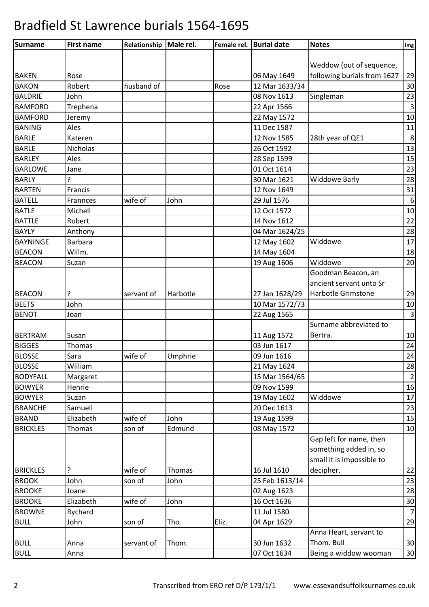| <b>Surname</b>  | <b>First name</b> | Relationship Male rel. |          | Female rel. | <b>Burial date</b> | <b>Notes</b>                | Img              |
|-----------------|-------------------|------------------------|----------|-------------|--------------------|-----------------------------|------------------|
|                 |                   |                        |          |             |                    |                             |                  |
|                 |                   |                        |          |             |                    | Weddow (out of sequence,    |                  |
| <b>BAKEN</b>    | Rose              |                        |          |             | 06 May 1649        | following burials from 1627 | 29               |
| <b>BAKON</b>    | Robert            | husband of             |          | Rose        | 12 Mar 1633/34     |                             | 30               |
| <b>BALDRIE</b>  | John              |                        |          |             | 08 Nov 1613        | Singleman                   | 23               |
| <b>BAMFORD</b>  | Trephena          |                        |          |             | 22 Apr 1566        |                             | $\overline{3}$   |
| <b>BAMFORD</b>  | Jeremy            |                        |          |             | 22 May 1572        |                             | 10               |
| <b>BANING</b>   | Ales              |                        |          |             | 11 Dec 1587        |                             | 11               |
| <b>BARLE</b>    | Kateren           |                        |          |             | 12 Nov 1585        | 28th year of QE1            | 8                |
| <b>BARLE</b>    | Nicholas          |                        |          |             | 26 Oct 1592        |                             | 13               |
| <b>BARLEY</b>   | Ales              |                        |          |             | 28 Sep 1599        |                             | 15               |
| <b>BARLOWE</b>  | Jane              |                        |          |             | 01 Oct 1614        |                             | 23               |
| <b>BARLY</b>    | 5                 |                        |          |             | 30 Mar 1621        | <b>Widdowe Barly</b>        | 28               |
| <b>BARTEN</b>   | Francis           |                        |          |             | 12 Nov 1649        |                             | 31               |
| <b>BATELL</b>   | Frannces          | wife of                | John     |             | 29 Jul 1576        |                             | $\boldsymbol{6}$ |
| <b>BATLE</b>    | Michell           |                        |          |             | 12 Oct 1572        |                             | 10               |
| <b>BATTLE</b>   | Robert            |                        |          |             | 14 Nov 1612        |                             | 22               |
| <b>BAYLY</b>    | Anthony           |                        |          |             | 04 Mar 1624/25     |                             | 28               |
| <b>BAYNINGE</b> | <b>Barbara</b>    |                        |          |             | 12 May 1602        | Widdowe                     | 17               |
| <b>BEACON</b>   | Willm.            |                        |          |             | 14 May 1604        |                             | 18               |
| <b>BEACON</b>   | Suzan             |                        |          |             | 19 Aug 1606        | Widdowe                     | 20               |
|                 |                   |                        |          |             |                    | Goodman Beacon, an          |                  |
|                 |                   |                        |          |             |                    | ancient servant unto Sr     |                  |
| <b>BEACON</b>   | ?                 | servant of             | Harbotle |             | 27 Jan 1628/29     | Harbotle Grimstone          | 29               |
| <b>BEETS</b>    | John              |                        |          |             | 10 Mar 1572/73     |                             | 10               |
| <b>BENOT</b>    | Joan              |                        |          |             | 22 Aug 1565        |                             | $\overline{3}$   |
|                 |                   |                        |          |             |                    | Surname abbreviated to      |                  |
| <b>BERTRAM</b>  | Susan             |                        |          |             | 11 Aug 1572        | Bertra.                     | 10               |
| <b>BIGGES</b>   | Thomas            |                        |          |             | 03 Jun 1617        |                             | 24               |
| <b>BLOSSE</b>   | Sara              | wife of                | Umphrie  |             | 09 Jun 1616        |                             | 24               |
| <b>BLOSSE</b>   | William           |                        |          |             | 21 May 1624        |                             | 28               |
| <b>BODYFALL</b> | Margaret          |                        |          |             | 15 Mar 1564/65     |                             | $\overline{2}$   |
| <b>BOWYER</b>   | Henrie            |                        |          |             | 09 Nov 1599        |                             | 16               |
| <b>BOWYER</b>   | Suzan             |                        |          |             | 19 May 1602        | Widdowe                     | 17               |
| <b>BRANCHE</b>  | Samuell           |                        |          |             | 20 Dec 1613        |                             | 23               |
| <b>BRAND</b>    | Elizabeth         | wife of                | John     |             | 19 Aug 1599        |                             | 15               |
| <b>BRICKLES</b> | Thomas            | son of                 | Edmund   |             | 08 May 1572        |                             | 10               |
|                 |                   |                        |          |             |                    | Gap left for name, then     |                  |
|                 |                   |                        |          |             |                    | something added in, so      |                  |
|                 |                   |                        |          |             |                    | small it is impossible to   |                  |
| <b>BRICKLES</b> | ?                 | wife of                | Thomas   |             | 16 Jul 1610        | decipher.                   | 22               |
| <b>BROOK</b>    | John              | son of                 | John     |             | 25 Feb 1613/14     |                             | 23               |
| <b>BROOKE</b>   | Joane             |                        |          |             | 02 Aug 1623        |                             | 28               |
| <b>BROOKE</b>   | Elizabeth         | wife of                | John     |             | 16 Oct 1636        |                             | 30               |
| <b>BROWNE</b>   | Rychard           |                        |          |             | 11 Jul 1580        |                             | $\overline{7}$   |
| <b>BULL</b>     | John              | son of                 | Tho.     | Eliz.       | 04 Apr 1629        |                             | 29               |
|                 |                   |                        |          |             |                    | Anna Heart, servant to      |                  |
| <b>BULL</b>     | Anna              | servant of             | Thom.    |             | 30 Jun 1632        | Thom. Bull                  | 30               |
| <b>BULL</b>     | Anna              |                        |          |             | 07 Oct 1634        | Being a widdow wooman       | 30               |
|                 |                   |                        |          |             |                    |                             |                  |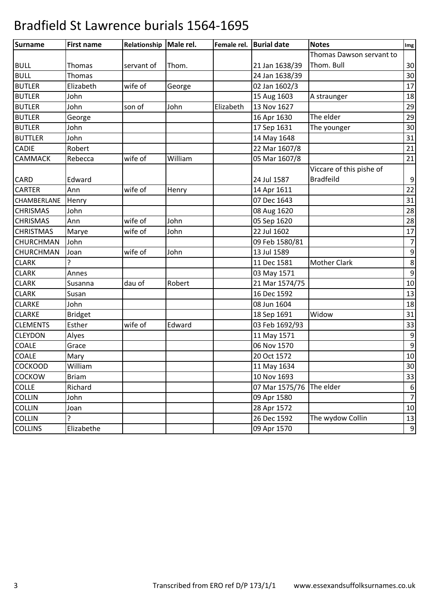| Surname          | <b>First name</b> | Relationship   Male rel. |         | Female rel. | <b>Burial date</b> | <b>Notes</b>             | Img              |
|------------------|-------------------|--------------------------|---------|-------------|--------------------|--------------------------|------------------|
|                  |                   |                          |         |             |                    | Thomas Dawson servant to |                  |
| <b>BULL</b>      | Thomas            | servant of               | Thom.   |             | 21 Jan 1638/39     | Thom. Bull               | 30               |
| <b>BULL</b>      | <b>Thomas</b>     |                          |         |             | 24 Jan 1638/39     |                          | 30               |
| <b>BUTLER</b>    | Elizabeth         | wife of                  | George  |             | 02 Jan 1602/3      |                          | 17               |
| <b>BUTLER</b>    | John              |                          |         |             | 15 Aug 1603        | A straunger              | 18               |
| <b>BUTLER</b>    | John              | son of                   | John    | Elizabeth   | 13 Nov 1627        |                          | 29               |
| <b>BUTLER</b>    | George            |                          |         |             | 16 Apr 1630        | The elder                | 29               |
| <b>BUTLER</b>    | John              |                          |         |             | 17 Sep 1631        | The younger              | 30               |
| <b>BUTTLER</b>   | John              |                          |         |             | 14 May 1648        |                          | 31               |
| <b>CADIE</b>     | Robert            |                          |         |             | 22 Mar 1607/8      |                          | 21               |
| <b>CAMMACK</b>   | Rebecca           | wife of                  | William |             | 05 Mar 1607/8      |                          | 21               |
|                  |                   |                          |         |             |                    | Viccare of this pishe of |                  |
| <b>CARD</b>      | Edward            |                          |         |             | 24 Jul 1587        | <b>Bradfeild</b>         | $\boldsymbol{9}$ |
| <b>CARTER</b>    | Ann               | wife of                  | Henry   |             | 14 Apr 1611        |                          | 22               |
| CHAMBERLANE      | Henry             |                          |         |             | 07 Dec 1643        |                          | 31               |
| <b>CHRISMAS</b>  | John              |                          |         |             | 08 Aug 1620        |                          | 28               |
| <b>CHRISMAS</b>  | Ann               | wife of                  | John    |             | 05 Sep 1620        |                          | 28               |
| <b>CHRISTMAS</b> | Marye             | wife of                  | John    |             | 22 Jul 1602        |                          | 17               |
| CHURCHMAN        | John              |                          |         |             | 09 Feb 1580/81     |                          | $\overline{7}$   |
| CHURCHMAN        | Joan              | wife of                  | John    |             | 13 Jul 1589        |                          | $\boldsymbol{9}$ |
| <b>CLARK</b>     | <sup>2</sup>      |                          |         |             | 11 Dec 1581        | <b>Mother Clark</b>      | 8                |
| <b>CLARK</b>     | Annes             |                          |         |             | 03 May 1571        |                          | 9                |
| <b>CLARK</b>     | Susanna           | dau of                   | Robert  |             | 21 Mar 1574/75     |                          | 10               |
| <b>CLARK</b>     | Susan             |                          |         |             | 16 Dec 1592        |                          | 13               |
| <b>CLARKE</b>    | John              |                          |         |             | 08 Jun 1604        |                          | 18               |
| <b>CLARKE</b>    | <b>Bridget</b>    |                          |         |             | 18 Sep 1691        | Widow                    | 31               |
| <b>CLEMENTS</b>  | Esther            | wife of                  | Edward  |             | 03 Feb 1692/93     |                          | 33               |
| <b>CLEYDON</b>   | Alyes             |                          |         |             | 11 May 1571        |                          | 9                |
| COALE            | Grace             |                          |         |             | 06 Nov 1570        |                          | 9                |
| <b>COALE</b>     | Mary              |                          |         |             | 20 Oct 1572        |                          | 10               |
| <b>COCKOOD</b>   | William           |                          |         |             | 11 May 1634        |                          | 30               |
| <b>COCKOW</b>    | <b>Briam</b>      |                          |         |             | 10 Nov 1693        |                          | 33               |
| <b>COLLE</b>     | Richard           |                          |         |             | 07 Mar 1575/76     | The elder                | $\boldsymbol{6}$ |
| <b>COLLIN</b>    | John              |                          |         |             | 09 Apr 1580        |                          | $\overline{7}$   |
| <b>COLLIN</b>    | Joan              |                          |         |             | 28 Apr 1572        |                          | 10               |
| <b>COLLIN</b>    | 5.                |                          |         |             | 26 Dec 1592        | The wydow Collin         | 13               |
| <b>COLLINS</b>   | Elizabethe        |                          |         |             | 09 Apr 1570        |                          | 9                |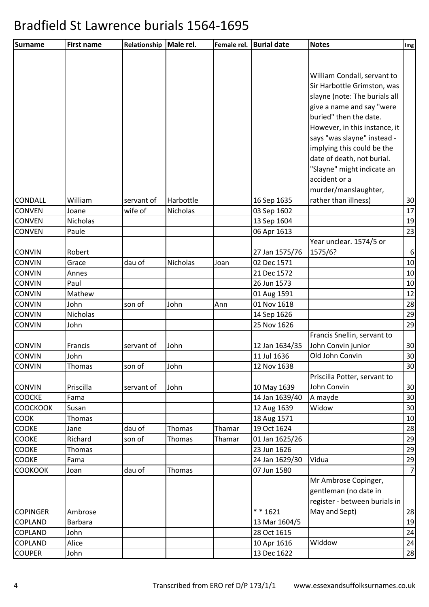| Surname         | <b>First name</b> | Relationship | Male rel. | Female rel. | <b>Burial date</b> | <b>Notes</b>                  | Img              |
|-----------------|-------------------|--------------|-----------|-------------|--------------------|-------------------------------|------------------|
|                 |                   |              |           |             |                    |                               |                  |
|                 |                   |              |           |             |                    |                               |                  |
|                 |                   |              |           |             |                    | William Condall, servant to   |                  |
|                 |                   |              |           |             |                    | Sir Harbottle Grimston, was   |                  |
|                 |                   |              |           |             |                    | slayne (note: The burials all |                  |
|                 |                   |              |           |             |                    | give a name and say "were     |                  |
|                 |                   |              |           |             |                    | buried" then the date.        |                  |
|                 |                   |              |           |             |                    | However, in this instance, it |                  |
|                 |                   |              |           |             |                    | says "was slayne" instead -   |                  |
|                 |                   |              |           |             |                    | implying this could be the    |                  |
|                 |                   |              |           |             |                    | date of death, not burial.    |                  |
|                 |                   |              |           |             |                    | "Slayne" might indicate an    |                  |
|                 |                   |              |           |             |                    | accident or a                 |                  |
|                 |                   |              |           |             |                    | murder/manslaughter,          |                  |
| <b>CONDALL</b>  | William           | servant of   | Harbottle |             | 16 Sep 1635        | rather than illness)          | 30               |
| <b>CONVEN</b>   | Joane             | wife of      | Nicholas  |             | 03 Sep 1602        |                               | 17               |
| <b>CONVEN</b>   | Nicholas          |              |           |             | 13 Sep 1604        |                               | 19               |
| <b>CONVEN</b>   | Paule             |              |           |             | 06 Apr 1613        |                               | 23               |
|                 |                   |              |           |             |                    | Year unclear. 1574/5 or       |                  |
| <b>CONVIN</b>   | Robert            |              |           |             | 27 Jan 1575/76     | 1575/6?                       | $6 \overline{6}$ |
| <b>CONVIN</b>   | Grace             | dau of       | Nicholas  | Joan        | 02 Dec 1571        |                               | 10               |
| <b>CONVIN</b>   | Annes             |              |           |             | 21 Dec 1572        |                               | 10               |
| <b>CONVIN</b>   | Paul              |              |           |             | 26 Jun 1573        |                               | 10               |
| <b>CONVIN</b>   | Mathew            |              |           |             | 01 Aug 1591        |                               | 12               |
| <b>CONVIN</b>   | John              | son of       | John      | Ann         | 01 Nov 1618        |                               | 28               |
| CONVIN          | Nicholas          |              |           |             | 14 Sep 1626        |                               | 29               |
| <b>CONVIN</b>   | John              |              |           |             | 25 Nov 1626        |                               | 29               |
|                 |                   |              |           |             |                    | Francis Snellin, servant to   |                  |
| <b>CONVIN</b>   | Francis           | servant of   | John      |             | 12 Jan 1634/35     | John Convin junior            | 30               |
| <b>CONVIN</b>   | John              |              |           |             | 11 Jul 1636        | Old John Convin               | 30               |
| <b>CONVIN</b>   | Thomas            | son of       | John      |             | 12 Nov 1638        |                               | 30               |
|                 |                   |              |           |             |                    | Priscilla Potter, servant to  |                  |
| <b>CONVIN</b>   | Priscilla         | servant of   | John      |             | 10 May 1639        | John Convin                   | 30               |
| <b>COOCKE</b>   | Fama              |              |           |             | 14 Jan 1639/40     | A mayde                       | 30               |
| <b>COOCKOOK</b> | Susan             |              |           |             | 12 Aug 1639        | Widow                         | 30               |
| <b>COOK</b>     | Thomas            |              |           |             | 18 Aug 1571        |                               | 10               |
| COOKE           | Jane              | dau of       | Thomas    | Thamar      | 19 Oct 1624        |                               | 28               |
| <b>COOKE</b>    | Richard           | son of       | Thomas    | Thamar      | 01 Jan 1625/26     |                               | 29               |
| COOKE           | Thomas            |              |           |             | 23 Jun 1626        |                               | 29               |
| COOKE           | Fama              |              |           |             | 24 Jan 1629/30     | Vidua                         | 29               |
| <b>COOKOOK</b>  | Joan              | dau of       | Thomas    |             | 07 Jun 1580        |                               | 7                |
|                 |                   |              |           |             |                    | Mr Ambrose Copinger,          |                  |
|                 |                   |              |           |             |                    | gentleman (no date in         |                  |
|                 |                   |              |           |             |                    | register - between burials in |                  |
| <b>COPINGER</b> | Ambrose           |              |           |             | $* * 1621$         | May and Sept)                 | 28               |
| COPLAND         | <b>Barbara</b>    |              |           |             | 13 Mar 1604/5      |                               | 19               |
| <b>COPLAND</b>  | John              |              |           |             | 28 Oct 1615        |                               | 24               |
| COPLAND         | Alice             |              |           |             | 10 Apr 1616        | Widdow                        | 24               |
| <b>COUPER</b>   | John              |              |           |             | 13 Dec 1622        |                               | 28               |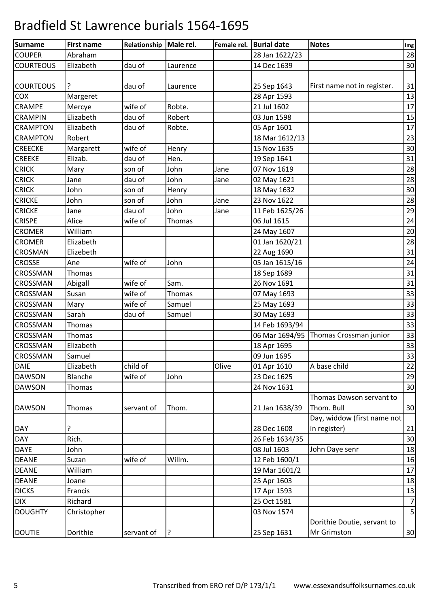| <b>Surname</b>   | <b>First name</b> | Relationship   Male rel. |          | Female rel. | <b>Burial date</b> | <b>Notes</b>                | Img            |
|------------------|-------------------|--------------------------|----------|-------------|--------------------|-----------------------------|----------------|
| <b>COUPER</b>    | Abraham           |                          |          |             | 28 Jan 1622/23     |                             | 28             |
| <b>COURTEOUS</b> | Elizabeth         | dau of                   | Laurence |             | 14 Dec 1639        |                             | 30             |
| <b>COURTEOUS</b> | ?                 | dau of                   | Laurence |             | 25 Sep 1643        | First name not in register. | 31             |
| COX              | Margeret          |                          |          |             | 28 Apr 1593        |                             | 13             |
| CRAMPE           | Mercye            | wife of                  | Robte.   |             | 21 Jul 1602        |                             | 17             |
| <b>CRAMPIN</b>   | Elizabeth         | dau of                   | Robert   |             | 03 Jun 1598        |                             | 15             |
| <b>CRAMPTON</b>  | Elizabeth         | dau of                   | Robte.   |             | 05 Apr 1601        |                             | 17             |
| <b>CRAMPTON</b>  | Robert            |                          |          |             | 18 Mar 1612/13     |                             | 23             |
| <b>CREECKE</b>   | Margarett         | wife of                  | Henry    |             | 15 Nov 1635        |                             | 30             |
| <b>CREEKE</b>    | Elizab.           | dau of                   | Hen.     |             | 19 Sep 1641        |                             | 31             |
| <b>CRICK</b>     | Mary              | son of                   | John     | Jane        | 07 Nov 1619        |                             | 28             |
| <b>CRICK</b>     | Jane              | dau of                   | John     | Jane        | 02 May 1621        |                             | 28             |
| <b>CRICK</b>     | John              | son of                   | Henry    |             | 18 May 1632        |                             | 30             |
| <b>CRICKE</b>    | John              | son of                   | John     | Jane        | 23 Nov 1622        |                             | 28             |
| <b>CRICKE</b>    | Jane              | dau of                   | John     | Jane        | 11 Feb 1625/26     |                             | 29             |
| <b>CRISPE</b>    | Alice             | wife of                  | Thomas   |             | 06 Jul 1615        |                             | 24             |
| <b>CROMER</b>    | William           |                          |          |             | 24 May 1607        |                             | 20             |
| <b>CROMER</b>    | Elizabeth         |                          |          |             | 01 Jan 1620/21     |                             | 28             |
| CROSMAN          | Elizebeth         |                          |          |             | 22 Aug 1690        |                             | 31             |
| <b>CROSSE</b>    | Ane               | wife of                  | John     |             | 05 Jan 1615/16     |                             | 24             |
| CROSSMAN         | Thomas            |                          |          |             | 18 Sep 1689        |                             | 31             |
| CROSSMAN         | Abigall           | wife of                  | Sam.     |             | 26 Nov 1691        |                             | 31             |
| CROSSMAN         | Susan             | wife of                  | Thomas   |             | 07 May 1693        |                             | 33             |
| CROSSMAN         | Mary              | wife of                  | Samuel   |             | 25 May 1693        |                             | 33             |
| CROSSMAN         | Sarah             | dau of                   | Samuel   |             | 30 May 1693        |                             | 33             |
| <b>CROSSMAN</b>  | Thomas            |                          |          |             | 14 Feb 1693/94     |                             | 33             |
| CROSSMAN         | Thomas            |                          |          |             | 06 Mar 1694/95     | Thomas Crossman junior      | 33             |
| CROSSMAN         | Elizabeth         |                          |          |             | 18 Apr 1695        |                             | 33             |
| <b>CROSSMAN</b>  | Samuel            |                          |          |             | 09 Jun 1695        |                             | 33             |
| <b>DAIE</b>      | Elizabeth         | child of                 |          | Olive       | 01 Apr 1610        | A base child                | 22             |
| <b>DAWSON</b>    | Blanche           | wife of                  | John     |             | 23 Dec 1625        |                             | 29             |
| <b>DAWSON</b>    | Thomas            |                          |          |             | 24 Nov 1631        |                             | 30             |
|                  |                   |                          |          |             |                    | Thomas Dawson servant to    |                |
| <b>DAWSON</b>    | Thomas            | servant of               | Thom.    |             | 21 Jan 1638/39     | Thom. Bull                  | 30             |
|                  |                   |                          |          |             |                    | Day, widdow (first name not |                |
| <b>DAY</b>       | ?                 |                          |          |             | 28 Dec 1608        | in register)                | 21             |
| <b>DAY</b>       | Rich.             |                          |          |             | 26 Feb 1634/35     |                             | 30             |
| <b>DAYE</b>      | John              |                          |          |             | 08 Jul 1603        | John Daye senr              | 18             |
| <b>DEANE</b>     | Suzan             | wife of                  | Willm.   |             | 12 Feb 1600/1      |                             | 16             |
| <b>DEANE</b>     | William           |                          |          |             | 19 Mar 1601/2      |                             | 17             |
| <b>DEANE</b>     | Joane             |                          |          |             | 25 Apr 1603        |                             | 18             |
| <b>DICKS</b>     | Francis           |                          |          |             | 17 Apr 1593        |                             | 13             |
| <b>DIX</b>       | Richard           |                          |          |             | 25 Oct 1581        |                             | $\overline{7}$ |
| <b>DOUGHTY</b>   | Christopher       |                          |          |             | 03 Nov 1574        |                             | 5              |
|                  |                   |                          |          |             |                    | Dorithie Doutie, servant to |                |
| <b>DOUTIE</b>    | Dorithie          | servant of               | ?        |             | 25 Sep 1631        | Mr Grimston                 | 30             |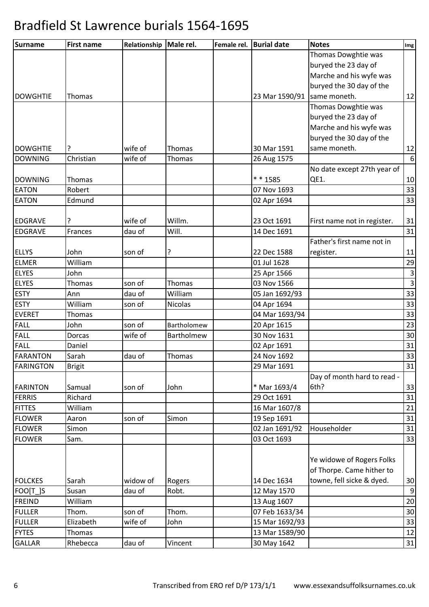| Thomas Dowghtie was<br>buryed the 23 day of<br>Marche and his wyfe was<br>buryed the 30 day of the<br>23 Mar 1590/91 same moneth.<br><b>DOWGHTIE</b><br>Thomas<br>Thomas Dowghtie was<br>buryed the 23 day of<br>Marche and his wyfe was<br>buryed the 30 day of the<br>same moneth.<br><b>DOWGHTIE</b><br>?<br>wife of<br>30 Mar 1591<br><b>Thomas</b><br>Christian<br>wife of<br><b>DOWNING</b><br>26 Aug 1575<br>Thomas<br>No date except 27th year of<br>* * 1585<br>QE1.<br><b>DOWNING</b><br>Thomas<br><b>EATON</b><br>Robert<br>07 Nov 1693<br><b>EATON</b><br>Edmund<br>02 Apr 1694 | Img            |
|---------------------------------------------------------------------------------------------------------------------------------------------------------------------------------------------------------------------------------------------------------------------------------------------------------------------------------------------------------------------------------------------------------------------------------------------------------------------------------------------------------------------------------------------------------------------------------------------|----------------|
|                                                                                                                                                                                                                                                                                                                                                                                                                                                                                                                                                                                             |                |
|                                                                                                                                                                                                                                                                                                                                                                                                                                                                                                                                                                                             |                |
|                                                                                                                                                                                                                                                                                                                                                                                                                                                                                                                                                                                             |                |
|                                                                                                                                                                                                                                                                                                                                                                                                                                                                                                                                                                                             |                |
|                                                                                                                                                                                                                                                                                                                                                                                                                                                                                                                                                                                             | 12             |
|                                                                                                                                                                                                                                                                                                                                                                                                                                                                                                                                                                                             |                |
|                                                                                                                                                                                                                                                                                                                                                                                                                                                                                                                                                                                             |                |
|                                                                                                                                                                                                                                                                                                                                                                                                                                                                                                                                                                                             |                |
|                                                                                                                                                                                                                                                                                                                                                                                                                                                                                                                                                                                             |                |
|                                                                                                                                                                                                                                                                                                                                                                                                                                                                                                                                                                                             | 12             |
|                                                                                                                                                                                                                                                                                                                                                                                                                                                                                                                                                                                             | 6              |
|                                                                                                                                                                                                                                                                                                                                                                                                                                                                                                                                                                                             |                |
|                                                                                                                                                                                                                                                                                                                                                                                                                                                                                                                                                                                             | 10             |
|                                                                                                                                                                                                                                                                                                                                                                                                                                                                                                                                                                                             | 33             |
|                                                                                                                                                                                                                                                                                                                                                                                                                                                                                                                                                                                             | 33             |
|                                                                                                                                                                                                                                                                                                                                                                                                                                                                                                                                                                                             |                |
| ?<br>wife of<br>Willm.<br><b>EDGRAVE</b><br>23 Oct 1691<br>First name not in register.                                                                                                                                                                                                                                                                                                                                                                                                                                                                                                      | 31             |
| Will.<br><b>EDGRAVE</b><br>dau of<br>14 Dec 1691<br>Frances                                                                                                                                                                                                                                                                                                                                                                                                                                                                                                                                 | 31             |
| Father's first name not in                                                                                                                                                                                                                                                                                                                                                                                                                                                                                                                                                                  |                |
| <b>ELLYS</b><br>John<br>22 Dec 1588<br>register.<br>son of<br>?                                                                                                                                                                                                                                                                                                                                                                                                                                                                                                                             | 11             |
| <b>ELMER</b><br>William<br>01 Jul 1628                                                                                                                                                                                                                                                                                                                                                                                                                                                                                                                                                      | 29             |
| <b>ELYES</b><br>John<br>25 Apr 1566                                                                                                                                                                                                                                                                                                                                                                                                                                                                                                                                                         | $\mathbf{3}$   |
| <b>ELYES</b><br>son of<br>03 Nov 1566<br>Thomas<br>Thomas                                                                                                                                                                                                                                                                                                                                                                                                                                                                                                                                   | $\overline{3}$ |
| <b>ESTY</b><br>dau of<br>William<br>Ann<br>05 Jan 1692/93                                                                                                                                                                                                                                                                                                                                                                                                                                                                                                                                   | 33             |
| <b>ESTY</b><br>William<br>Nicolas<br>son of<br>04 Apr 1694                                                                                                                                                                                                                                                                                                                                                                                                                                                                                                                                  | 33             |
| <b>EVERET</b><br>04 Mar 1693/94<br>Thomas                                                                                                                                                                                                                                                                                                                                                                                                                                                                                                                                                   | 33             |
| <b>FALL</b><br>John<br>son of<br>20 Apr 1615<br>Bartholomew                                                                                                                                                                                                                                                                                                                                                                                                                                                                                                                                 | 23             |
| <b>FALL</b><br>wife of<br>30 Nov 1631<br>Dorcas<br>Bartholmew                                                                                                                                                                                                                                                                                                                                                                                                                                                                                                                               | 30             |
| <b>FALL</b><br>Daniel<br>02 Apr 1691                                                                                                                                                                                                                                                                                                                                                                                                                                                                                                                                                        | 31             |
| <b>FARANTON</b><br>Sarah<br>24 Nov 1692<br>dau of<br>Thomas                                                                                                                                                                                                                                                                                                                                                                                                                                                                                                                                 | 33             |
| <b>FARINGTON</b><br>29 Mar 1691<br><b>Brigit</b>                                                                                                                                                                                                                                                                                                                                                                                                                                                                                                                                            | 31             |
| Day of month hard to read -                                                                                                                                                                                                                                                                                                                                                                                                                                                                                                                                                                 |                |
| 6th?<br><b>FARINTON</b><br>Samual<br>son of<br>* Mar 1693/4<br>John                                                                                                                                                                                                                                                                                                                                                                                                                                                                                                                         | 33             |
| <b>FERRIS</b><br>Richard<br>29 Oct 1691                                                                                                                                                                                                                                                                                                                                                                                                                                                                                                                                                     | 31             |
| <b>FITTES</b><br>William<br>16 Mar 1607/8                                                                                                                                                                                                                                                                                                                                                                                                                                                                                                                                                   | 21             |
| son of<br>19 Sep 1691<br><b>FLOWER</b><br>Simon<br>Aaron                                                                                                                                                                                                                                                                                                                                                                                                                                                                                                                                    | 31             |
| <b>FLOWER</b><br>02 Jan 1691/92<br>Householder<br>Simon                                                                                                                                                                                                                                                                                                                                                                                                                                                                                                                                     | 31             |
| 03 Oct 1693<br><b>FLOWER</b><br>Sam.                                                                                                                                                                                                                                                                                                                                                                                                                                                                                                                                                        | 33             |
|                                                                                                                                                                                                                                                                                                                                                                                                                                                                                                                                                                                             |                |
| Ye widowe of Rogers Folks                                                                                                                                                                                                                                                                                                                                                                                                                                                                                                                                                                   |                |
| of Thorpe. Came hither to                                                                                                                                                                                                                                                                                                                                                                                                                                                                                                                                                                   |                |
| towne, fell sicke & dyed.<br><b>FOLCKES</b><br>widow of<br>14 Dec 1634<br>Sarah<br>Rogers                                                                                                                                                                                                                                                                                                                                                                                                                                                                                                   | 30             |
| dau of<br>FOO[T_]S<br>Susan<br>Robt.<br>12 May 1570                                                                                                                                                                                                                                                                                                                                                                                                                                                                                                                                         | 9              |
| <b>FREIND</b><br>William<br>13 Aug 1607                                                                                                                                                                                                                                                                                                                                                                                                                                                                                                                                                     | 20             |
| <b>FULLER</b><br>Thom.<br>son of<br>Thom.<br>07 Feb 1633/34                                                                                                                                                                                                                                                                                                                                                                                                                                                                                                                                 | 30             |
| <b>FULLER</b><br>Elizabeth<br>wife of<br>John<br>15 Mar 1692/93                                                                                                                                                                                                                                                                                                                                                                                                                                                                                                                             | 33             |
| <b>FYTES</b><br>Thomas<br>13 Mar 1589/90                                                                                                                                                                                                                                                                                                                                                                                                                                                                                                                                                    | 12             |
| <b>GALLAR</b><br>Rhebecca<br>dau of<br>30 May 1642<br>Vincent                                                                                                                                                                                                                                                                                                                                                                                                                                                                                                                               | 31             |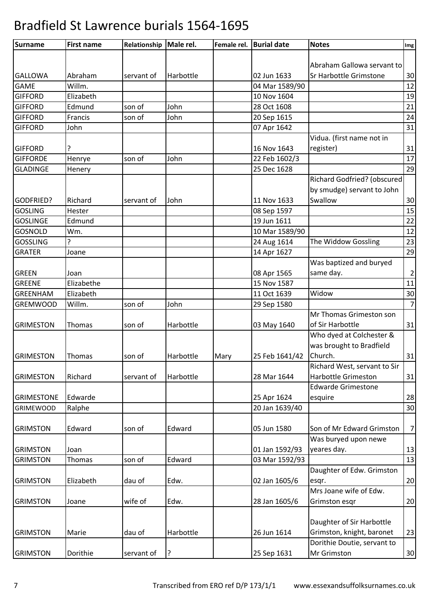| <b>Surname</b>    | <b>First name</b> | Relationship | Male rel. | Female rel. | <b>Burial date</b> | <b>Notes</b>                 | Img            |
|-------------------|-------------------|--------------|-----------|-------------|--------------------|------------------------------|----------------|
|                   |                   |              |           |             |                    |                              |                |
|                   |                   |              |           |             |                    | Abraham Gallowa servant to   |                |
| <b>GALLOWA</b>    | Abraham           | servant of   | Harbottle |             | 02 Jun 1633        | Sr Harbottle Grimstone       | 30             |
| <b>GAME</b>       | Willm.            |              |           |             | 04 Mar 1589/90     |                              | 12             |
| <b>GIFFORD</b>    | Elizabeth         |              |           |             | 10 Nov 1604        |                              | 19             |
| <b>GIFFORD</b>    | Edmund            | son of       | John      |             | 28 Oct 1608        |                              | 21             |
| <b>GIFFORD</b>    | Francis           | son of       | John      |             | 20 Sep 1615        |                              | 24             |
| <b>GIFFORD</b>    | John              |              |           |             | 07 Apr 1642        |                              | 31             |
|                   |                   |              |           |             |                    | Vidua. (first name not in    |                |
| <b>GIFFORD</b>    | ?                 |              |           |             | 16 Nov 1643        | register)                    | 31             |
| <b>GIFFORDE</b>   | Henrye            | son of       | John      |             | 22 Feb 1602/3      |                              | 17             |
| <b>GLADINGE</b>   | Henery            |              |           |             | 25 Dec 1628        |                              | 29             |
|                   |                   |              |           |             |                    | Richard Godfried? (obscured  |                |
|                   |                   |              |           |             |                    | by smudge) servant to John   |                |
| GODFRIED?         | Richard           | servant of   | John      |             | 11 Nov 1633        | Swallow                      | 30             |
| <b>GOSLING</b>    | Hester            |              |           |             | 08 Sep 1597        |                              | 15             |
| <b>GOSLINGE</b>   | Edmund            |              |           |             | 19 Jun 1611        |                              | 22             |
| <b>GOSNOLD</b>    | Wm.               |              |           |             | 10 Mar 1589/90     |                              | 12             |
| <b>GOSSLING</b>   | ç.                |              |           |             | 24 Aug 1614        | The Widdow Gossling          | 23             |
| <b>GRATER</b>     | Joane             |              |           |             | 14 Apr 1627        |                              | 29             |
|                   |                   |              |           |             |                    | Was baptized and buryed      |                |
| <b>GREEN</b>      | Joan              |              |           |             | 08 Apr 1565        | same day.                    | $\overline{2}$ |
| <b>GREENE</b>     | Elizabethe        |              |           |             | 15 Nov 1587        |                              | 11             |
| <b>GREENHAM</b>   | Elizabeth         |              |           |             | 11 Oct 1639        | Widow                        | 30             |
| <b>GREMWOOD</b>   | Willm.            | son of       | John      |             | 29 Sep 1580        |                              | $\overline{7}$ |
|                   |                   |              |           |             |                    | Mr Thomas Grimeston son      |                |
| <b>GRIMESTON</b>  | Thomas            | son of       | Harbottle |             | 03 May 1640        | of Sir Harbottle             | 31             |
|                   |                   |              |           |             |                    | Who dyed at Colchester &     |                |
|                   |                   |              |           |             |                    | was brought to Bradfield     |                |
| <b>GRIMESTON</b>  | Thomas            | son of       | Harbottle | Mary        | 25 Feb 1641/42     | Church.                      | 31             |
|                   |                   |              |           |             |                    | Richard West, servant to Sir |                |
| <b>GRIMESTON</b>  | Richard           | servant of   | Harbottle |             | 28 Mar 1644        | <b>Harbottle Grimeston</b>   | 31             |
|                   |                   |              |           |             |                    | <b>Edwarde Grimestone</b>    |                |
| <b>GRIMESTONE</b> | Edwarde           |              |           |             | 25 Apr 1624        | esquire                      | 28             |
| <b>GRIMEWOOD</b>  | Ralphe            |              |           |             | 20 Jan 1639/40     |                              | 30             |
|                   |                   |              |           |             |                    |                              |                |
| <b>GRIMSTON</b>   | Edward            | son of       | Edward    |             | 05 Jun 1580        | Son of Mr Edward Grimston    | $\overline{7}$ |
|                   |                   |              |           |             |                    | Was buryed upon newe         |                |
| <b>GRIMSTON</b>   | Joan              |              |           |             | 01 Jan 1592/93     | yeares day.                  | 13             |
| <b>GRIMSTON</b>   | Thomas            | son of       | Edward    |             | 03 Mar 1592/93     |                              | 13             |
|                   |                   |              |           |             |                    | Daughter of Edw. Grimston    |                |
| <b>GRIMSTON</b>   | Elizabeth         | dau of       | Edw.      |             | 02 Jan 1605/6      | esqr.                        | 20             |
|                   |                   |              |           |             |                    | Mrs Joane wife of Edw.       |                |
| <b>GRIMSTON</b>   | Joane             | wife of      | Edw.      |             | 28 Jan 1605/6      | Grimston esqr                | 20             |
|                   |                   |              |           |             |                    |                              |                |
|                   |                   |              |           |             |                    | Daughter of Sir Harbottle    |                |
| <b>GRIMSTON</b>   | Marie             | dau of       | Harbottle |             | 26 Jun 1614        | Grimston, knight, baronet    | 23             |
|                   |                   |              |           |             |                    | Dorithie Doutie, servant to  |                |
| <b>GRIMSTON</b>   | Dorithie          | servant of   | ?         |             | 25 Sep 1631        | Mr Grimston                  | $30\,$         |
|                   |                   |              |           |             |                    |                              |                |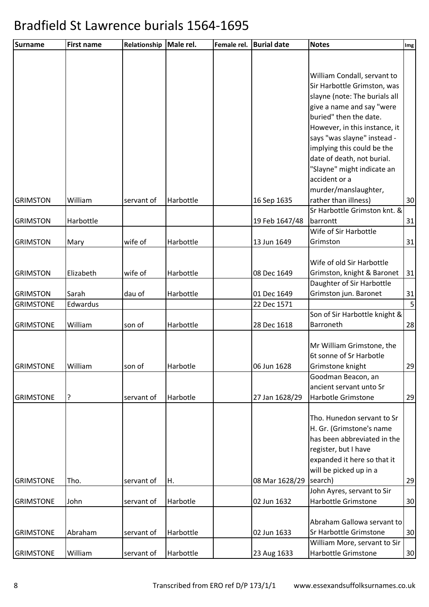| <b>Surname</b>   | <b>First name</b> | Relationship | Male rel. | Female rel. | <b>Burial date</b> | <b>Notes</b>                                | Img            |
|------------------|-------------------|--------------|-----------|-------------|--------------------|---------------------------------------------|----------------|
|                  |                   |              |           |             |                    |                                             |                |
|                  |                   |              |           |             |                    |                                             |                |
|                  |                   |              |           |             |                    | William Condall, servant to                 |                |
|                  |                   |              |           |             |                    | Sir Harbottle Grimston, was                 |                |
|                  |                   |              |           |             |                    | slayne (note: The burials all               |                |
|                  |                   |              |           |             |                    | give a name and say "were                   |                |
|                  |                   |              |           |             |                    | buried" then the date.                      |                |
|                  |                   |              |           |             |                    | However, in this instance, it               |                |
|                  |                   |              |           |             |                    | says "was slayne" instead -                 |                |
|                  |                   |              |           |             |                    | implying this could be the                  |                |
|                  |                   |              |           |             |                    | date of death, not burial.                  |                |
|                  |                   |              |           |             |                    | "Slayne" might indicate an<br>accident or a |                |
|                  |                   |              |           |             |                    | murder/manslaughter,                        |                |
| <b>GRIMSTON</b>  | William           | servant of   | Harbottle |             | 16 Sep 1635        | rather than illness)                        | 30             |
|                  |                   |              |           |             |                    | Sr Harbottle Grimston knt. &                |                |
| <b>GRIMSTON</b>  | Harbottle         |              |           |             | 19 Feb 1647/48     | barrontt                                    | 31             |
|                  |                   |              |           |             |                    | Wife of Sir Harbottle                       |                |
| <b>GRIMSTON</b>  | Mary              | wife of      | Harbottle |             | 13 Jun 1649        | Grimston                                    | 31             |
|                  |                   |              |           |             |                    |                                             |                |
|                  |                   |              |           |             |                    | Wife of old Sir Harbottle                   |                |
| <b>GRIMSTON</b>  | Elizabeth         | wife of      | Harbottle |             | 08 Dec 1649        | Grimston, knight & Baronet                  | 31             |
|                  |                   |              |           |             |                    | Daughter of Sir Harbottle                   |                |
| <b>GRIMSTON</b>  | Sarah             | dau of       | Harbottle |             | 01 Dec 1649        | Grimston jun. Baronet                       | 31             |
| <b>GRIMSTONE</b> | Edwardus          |              |           |             | 22 Dec 1571        |                                             | 5 <sub>l</sub> |
| <b>GRIMSTONE</b> | William           | son of       | Harbottle |             | 28 Dec 1618        | Son of Sir Harbottle knight &<br>Barroneth  | 28             |
|                  |                   |              |           |             |                    |                                             |                |
|                  |                   |              |           |             |                    | Mr William Grimstone, the                   |                |
|                  |                   |              |           |             |                    | 6t sonne of Sr Harbotle                     |                |
| <b>GRIMSTONE</b> | William           | son of       | Harbotle  |             | 06 Jun 1628        | Grimstone knight                            | 29             |
|                  |                   |              |           |             |                    | Goodman Beacon, an                          |                |
|                  |                   |              |           |             |                    | ancient servant unto Sr                     |                |
| <b>GRIMSTONE</b> | ?                 | servant of   | Harbotle  |             | 27 Jan 1628/29     | Harbotle Grimstone                          | 29             |
|                  |                   |              |           |             |                    |                                             |                |
|                  |                   |              |           |             |                    | Tho. Hunedon servant to Sr                  |                |
|                  |                   |              |           |             |                    | H. Gr. (Grimstone's name                    |                |
|                  |                   |              |           |             |                    | has been abbreviated in the                 |                |
|                  |                   |              |           |             |                    | register, but I have                        |                |
|                  |                   |              |           |             |                    | expanded it here so that it                 |                |
|                  |                   |              |           |             |                    | will be picked up in a                      |                |
| <b>GRIMSTONE</b> | Tho.              | servant of   | Η.        |             | 08 Mar 1628/29     | search)<br>John Ayres, servant to Sir       | 29             |
| <b>GRIMSTONE</b> | John              | servant of   | Harbotle  |             | 02 Jun 1632        | Harbottle Grimstone                         | 30             |
|                  |                   |              |           |             |                    |                                             |                |
|                  |                   |              |           |             |                    | Abraham Gallowa servant to                  |                |
| <b>GRIMSTONE</b> | Abraham           | servant of   | Harbottle |             | 02 Jun 1633        | Sr Harbottle Grimstone                      | 30             |
|                  |                   |              |           |             |                    | William More, servant to Sir                |                |
| <b>GRIMSTONE</b> | William           | servant of   | Harbottle |             | 23 Aug 1633        | Harbottle Grimstone                         | 30             |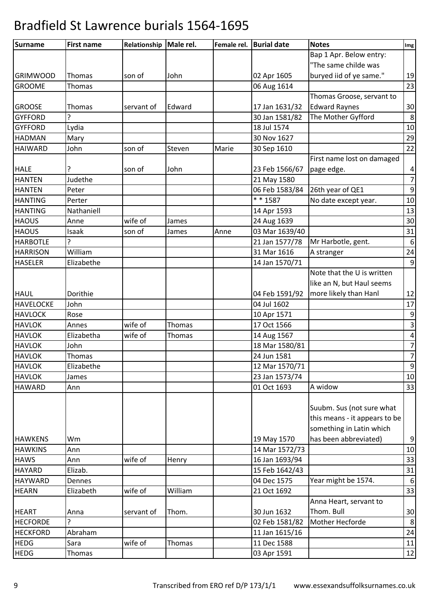| <b>Surname</b>   | <b>First name</b> | Relationship | Male rel. | Female rel. | <b>Burial date</b> | <b>Notes</b>                  | Img            |
|------------------|-------------------|--------------|-----------|-------------|--------------------|-------------------------------|----------------|
|                  |                   |              |           |             |                    | Bap 1 Apr. Below entry:       |                |
|                  |                   |              |           |             |                    | "The same childe was          |                |
| <b>GRIMWOOD</b>  | Thomas            | son of       | John      |             | 02 Apr 1605        | buryed iid of ye same."       | 19             |
| <b>GROOME</b>    | Thomas            |              |           |             | 06 Aug 1614        |                               | 23             |
|                  |                   |              |           |             |                    | Thomas Groose, servant to     |                |
| <b>GROOSE</b>    | Thomas            | servant of   | Edward    |             | 17 Jan 1631/32     | <b>Edward Raynes</b>          | 30             |
| <b>GYFFORD</b>   | Ç                 |              |           |             | 30 Jan 1581/82     | The Mother Gyfford            | 8              |
| <b>GYFFORD</b>   | Lydia             |              |           |             | 18 Jul 1574        |                               | 10             |
| <b>HADMAN</b>    | Mary              |              |           |             | 30 Nov 1627        |                               | 29             |
| <b>HAIWARD</b>   | John              | son of       | Steven    | Marie       | 30 Sep 1610        |                               | 22             |
|                  |                   |              |           |             |                    | First name lost on damaged    |                |
| <b>HALE</b>      | ?                 | son of       | John      |             | 23 Feb 1566/67     | page edge.                    | 4              |
| <b>HANTEN</b>    | Judethe           |              |           |             | 21 May 1580        |                               | $\overline{7}$ |
| <b>HANTEN</b>    | Peter             |              |           |             | 06 Feb 1583/84     | 26th year of QE1              | 9              |
| <b>HANTING</b>   | Perter            |              |           |             | $* * 1587$         | No date except year.          | 10             |
| <b>HANTING</b>   | Nathaniell        |              |           |             | 14 Apr 1593        |                               | 13             |
| <b>HAOUS</b>     | Anne              | wife of      | James     |             | 24 Aug 1639        |                               | 30             |
| <b>HAOUS</b>     | Isaak             | son of       | James     | Anne        | 03 Mar 1639/40     |                               | 31             |
| <b>HARBOTLE</b>  | ς                 |              |           |             | 21 Jan 1577/78     | Mr Harbotle, gent.            | $6\,$          |
| <b>HARRISON</b>  | William           |              |           |             | 31 Mar 1616        | A stranger                    | 24             |
| <b>HASELER</b>   | Elizabethe        |              |           |             | 14 Jan 1570/71     |                               | 9              |
|                  |                   |              |           |             |                    | Note that the U is written    |                |
|                  |                   |              |           |             |                    | like an N, but Haul seems     |                |
| <b>HAUL</b>      | Dorithie          |              |           |             | 04 Feb 1591/92     | more likely than Hanl         | 12             |
| <b>HAVELOCKE</b> | John              |              |           |             | 04 Jul 1602        |                               | 17             |
| <b>HAVLOCK</b>   | Rose              |              |           |             | 10 Apr 1571        |                               | 9              |
| <b>HAVLOK</b>    | Annes             | wife of      | Thomas    |             | 17 Oct 1566        |                               | $\overline{3}$ |
| <b>HAVLOK</b>    | Elizabetha        | wife of      | Thomas    |             | 14 Aug 1567        |                               | $\overline{4}$ |
| <b>HAVLOK</b>    | John              |              |           |             | 18 Mar 1580/81     |                               | $\overline{7}$ |
| <b>HAVLOK</b>    | Thomas            |              |           |             | 24 Jun 1581        |                               | $\overline{7}$ |
| <b>HAVLOK</b>    | Elizabethe        |              |           |             | 12 Mar 1570/71     |                               | 9              |
| <b>HAVLOK</b>    | James             |              |           |             | 23 Jan 1573/74     |                               | 10             |
| <b>HAWARD</b>    | Ann               |              |           |             | 01 Oct 1693        | A widow                       | 33             |
|                  |                   |              |           |             |                    |                               |                |
|                  |                   |              |           |             |                    | Suubm. Sus (not sure what     |                |
|                  |                   |              |           |             |                    | this means - it appears to be |                |
|                  |                   |              |           |             |                    | something in Latin which      |                |
| <b>HAWKENS</b>   | Wm                |              |           |             | 19 May 1570        | has been abbreviated)         | 9              |
| <b>HAWKINS</b>   | Ann               |              |           |             | 14 Mar 1572/73     |                               | 10             |
| <b>HAWS</b>      | Ann               | wife of      | Henry     |             | 16 Jan 1693/94     |                               | 33             |
| <b>HAYARD</b>    | Elizab.           |              |           |             | 15 Feb 1642/43     |                               | 31             |
| <b>HAYWARD</b>   | Dennes            |              |           |             | 04 Dec 1575        | Year might be 1574.           | 6              |
| <b>HEARN</b>     | Elizabeth         | wife of      | William   |             | 21 Oct 1692        |                               | 33             |
|                  |                   |              |           |             |                    | Anna Heart, servant to        |                |
| <b>HEART</b>     | Anna              | servant of   | Thom.     |             | 30 Jun 1632        | Thom. Bull                    | 30             |
| <b>HECFORDE</b>  | ς                 |              |           |             | 02 Feb 1581/82     | Mother Hecforde               | 8              |
| <b>HECKFORD</b>  | Abraham           |              |           |             | 11 Jan 1615/16     |                               | 24             |
| <b>HEDG</b>      | Sara              | wife of      | Thomas    |             | 11 Dec 1588        |                               | 11             |
| <b>HEDG</b>      | Thomas            |              |           |             | 03 Apr 1591        |                               | 12             |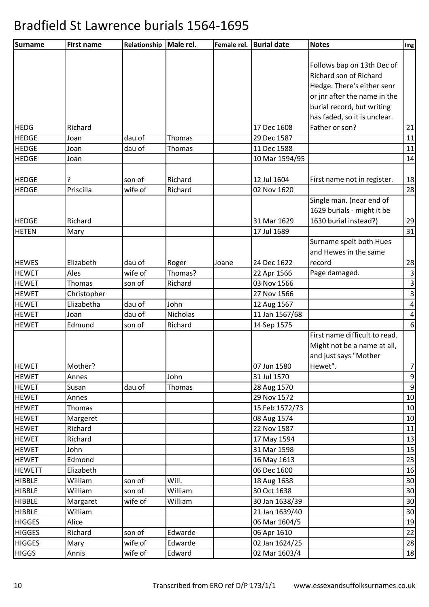| Surname       | <b>First name</b> | Relationship | Male rel.        | Female rel. | <b>Burial date</b> | <b>Notes</b>                  | Img                     |
|---------------|-------------------|--------------|------------------|-------------|--------------------|-------------------------------|-------------------------|
|               |                   |              |                  |             |                    |                               |                         |
|               |                   |              |                  |             |                    | Follows bap on 13th Dec of    |                         |
|               |                   |              |                  |             |                    | Richard son of Richard        |                         |
|               |                   |              |                  |             |                    | Hedge. There's either senr    |                         |
|               |                   |              |                  |             |                    | or jnr after the name in the  |                         |
|               |                   |              |                  |             |                    | burial record, but writing    |                         |
|               |                   |              |                  |             |                    | has faded, so it is unclear.  |                         |
| <b>HEDG</b>   | Richard           |              |                  |             | 17 Dec 1608        | Father or son?                | 21                      |
| <b>HEDGE</b>  | Joan              | dau of       | Thomas           |             | 29 Dec 1587        |                               | 11                      |
| <b>HEDGE</b>  | Joan              | dau of       | Thomas           |             | 11 Dec 1588        |                               | 11                      |
| <b>HEDGE</b>  | Joan              |              |                  |             | 10 Mar 1594/95     |                               | 14                      |
|               |                   |              |                  |             |                    |                               |                         |
| <b>HEDGE</b>  | ?                 | son of       | Richard          |             | 12 Jul 1604        | First name not in register.   | 18                      |
| <b>HEDGE</b>  | Priscilla         | wife of      | Richard          |             | 02 Nov 1620        |                               | 28                      |
|               |                   |              |                  |             |                    | Single man. (near end of      |                         |
|               |                   |              |                  |             |                    | 1629 burials - might it be    |                         |
| <b>HEDGE</b>  | Richard           |              |                  |             | 31 Mar 1629        | 1630 burial instead?)         | 29                      |
| <b>HETEN</b>  | Mary              |              |                  |             | 17 Jul 1689        |                               | 31                      |
|               |                   |              |                  |             |                    | Surname spelt both Hues       |                         |
|               |                   |              |                  |             |                    | and Hewes in the same         |                         |
| <b>HEWES</b>  | Elizabeth         | dau of       | Roger            | Joane       | 24 Dec 1622        | record                        | 28                      |
| <b>HEWET</b>  | Ales              | wife of      | Thomas?          |             | 22 Apr 1566        | Page damaged.                 | $\vert$ 3               |
| <b>HEWET</b>  | Thomas            | son of       | Richard          |             | 03 Nov 1566        |                               | $\overline{\mathbf{3}}$ |
| <b>HEWET</b>  | Christopher       |              |                  |             | 27 Nov 1566        |                               | $\mathbf{3}$            |
| <b>HEWET</b>  | Elizabetha        | dau of       | John             |             | 12 Aug 1567        |                               | $\vert 4 \vert$         |
| <b>HEWET</b>  | Joan              | dau of       | Nicholas         |             | 11 Jan 1567/68     |                               | $\vert 4 \vert$         |
| <b>HEWET</b>  | Edmund            | son of       | Richard          |             | 14 Sep 1575        |                               | 6                       |
|               |                   |              |                  |             |                    | First name difficult to read. |                         |
|               |                   |              |                  |             |                    | Might not be a name at all,   |                         |
|               |                   |              |                  |             |                    | and just says "Mother         |                         |
| <b>HEWET</b>  | Mother?           |              |                  |             | 07 Jun 1580        | Hewet".                       | 7                       |
| <b>HEWET</b>  | Annes             |              | John             |             | 31 Jul 1570        |                               | 9                       |
| <b>HEWET</b>  | Susan             | dau of       | Thomas           |             | 28 Aug 1570        |                               | 9                       |
| <b>HEWET</b>  | Annes             |              |                  |             | 29 Nov 1572        |                               | 10                      |
| <b>HEWET</b>  | Thomas            |              |                  |             | 15 Feb 1572/73     |                               | 10                      |
| <b>HEWET</b>  | Margeret          |              |                  |             | 08 Aug 1574        |                               | 10                      |
| <b>HEWET</b>  | Richard           |              |                  |             | 22 Nov 1587        |                               | 11                      |
| <b>HEWET</b>  | Richard           |              |                  |             | 17 May 1594        |                               | 13                      |
| <b>HEWET</b>  | John              |              |                  |             | 31 Mar 1598        |                               | 15                      |
| <b>HEWET</b>  | Edmond            |              |                  |             | 16 May 1613        |                               | 23                      |
| <b>HEWETT</b> | Elizabeth         |              |                  |             | 06 Dec 1600        |                               | 16                      |
| <b>HIBBLE</b> | William           | son of       | Will.<br>William |             | 18 Aug 1638        |                               | 30                      |
| <b>HIBBLE</b> | William           | son of       |                  |             | 30 Oct 1638        |                               | 30                      |
| <b>HIBBLE</b> | Margaret          | wife of      | William          |             | 30 Jan 1638/39     |                               | 30                      |
| <b>HIBBLE</b> | William           |              |                  |             | 21 Jan 1639/40     |                               | 30                      |
| <b>HIGGES</b> | Alice             |              |                  |             | 06 Mar 1604/5      |                               | 19                      |
| <b>HIGGES</b> | Richard           | son of       | Edwarde          |             | 06 Apr 1610        |                               | 22                      |
| <b>HIGGES</b> | Mary              | wife of      | Edwarde          |             | 02 Jan 1624/25     |                               | 28                      |
| <b>HIGGS</b>  | Annis             | wife of      | Edward           |             | 02 Mar 1603/4      |                               | 18                      |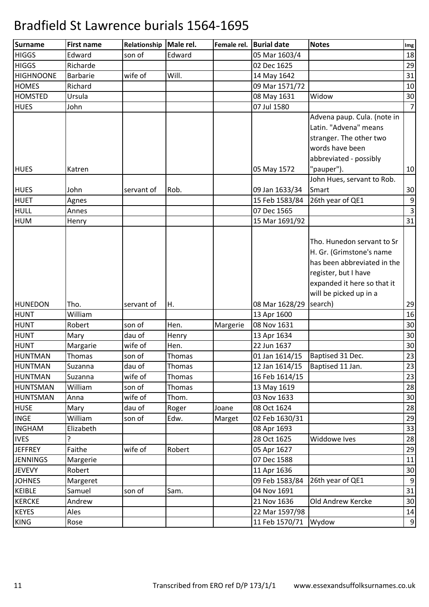| <b>Surname</b>         | <b>First name</b>  | Relationship      | Male rel.      | Female rel. | <b>Burial date</b>            | <b>Notes</b>                                                                                                                                                             | Img            |
|------------------------|--------------------|-------------------|----------------|-------------|-------------------------------|--------------------------------------------------------------------------------------------------------------------------------------------------------------------------|----------------|
| <b>HIGGS</b>           | Edward             | son of            | Edward         |             | 05 Mar 1603/4                 |                                                                                                                                                                          | 18             |
| <b>HIGGS</b>           | Richarde           |                   |                |             | 02 Dec 1625                   |                                                                                                                                                                          | 29             |
| <b>HIGHNOONE</b>       | Barbarie           | wife of           | Will.          |             | 14 May 1642                   |                                                                                                                                                                          | 31             |
| <b>HOMES</b>           | Richard            |                   |                |             | 09 Mar 1571/72                |                                                                                                                                                                          | 10             |
| <b>HOMSTED</b>         | Ursula             |                   |                |             | 08 May 1631                   | Widow                                                                                                                                                                    | 30             |
| <b>HUES</b>            | John               |                   |                |             | 07 Jul 1580                   |                                                                                                                                                                          | $\overline{7}$ |
| <b>HUES</b>            | Katren             |                   |                |             | 05 May 1572                   | Advena paup. Cula. (note in<br>Latin. "Advena" means<br>stranger. The other two<br>words have been<br>abbreviated - possibly<br>"pauper").<br>John Hues, servant to Rob. | 10             |
| <b>HUES</b>            | John               | servant of        | Rob.           |             | 09 Jan 1633/34                | Smart                                                                                                                                                                    | 30             |
| <b>HUET</b>            | Agnes              |                   |                |             | 15 Feb 1583/84                | 26th year of QE1                                                                                                                                                         | 9              |
| <b>HULL</b>            | Annes              |                   |                |             | 07 Dec 1565                   |                                                                                                                                                                          | $\overline{3}$ |
| <b>HUM</b>             | Henry              |                   |                |             | 15 Mar 1691/92                |                                                                                                                                                                          | 31             |
|                        |                    |                   |                |             |                               | H. Gr. (Grimstone's name<br>has been abbreviated in the<br>register, but I have<br>expanded it here so that it<br>will be picked up in a                                 |                |
| <b>HUNEDON</b>         | Tho.               | servant of        | Η.             |             | 08 Mar 1628/29                | search)                                                                                                                                                                  | 29             |
| <b>HUNT</b>            | William            |                   |                |             | 13 Apr 1600                   |                                                                                                                                                                          | 16             |
| <b>HUNT</b>            | Robert             | son of            | Hen.           | Margerie    | 08 Nov 1631                   |                                                                                                                                                                          | 30             |
| <b>HUNT</b>            | Mary               | dau of            | Henry          |             | 13 Apr 1634                   |                                                                                                                                                                          | 30             |
| <b>HUNT</b><br>HUNTMAN | Margarie<br>Thomas | wife of<br>son of | Hen.<br>Thomas |             | 22 Jun 1637<br>01 Jan 1614/15 | Baptised 31 Dec.                                                                                                                                                         | 30<br>23       |
| <b>HUNTMAN</b>         | Suzanna            | dau of            | Thomas         |             | 12 Jan 1614/15                | Baptised 11 Jan.                                                                                                                                                         | 23             |
| <b>HUNTMAN</b>         | Suzanna            | wife of           | Thomas         |             | 16 Feb 1614/15                |                                                                                                                                                                          | 23             |
| <b>HUNTSMAN</b>        | William            | son of            | Thomas         |             | 13 May 1619                   |                                                                                                                                                                          | 28             |
| HUNTSMAN               | Anna               | wife of           | Thom.          |             | 03 Nov 1633                   |                                                                                                                                                                          | 30             |
| <b>HUSE</b>            | Mary               | dau of            | Roger          | Joane       | 08 Oct 1624                   |                                                                                                                                                                          | 28             |
| <b>INGE</b>            | William            | son of            | Edw.           | Marget      | 02 Feb 1630/31                |                                                                                                                                                                          | 29             |
| <b>INGHAM</b>          | Elizabeth          |                   |                |             | 08 Apr 1693                   |                                                                                                                                                                          | 33             |
| <b>IVES</b>            | ?                  |                   |                |             | 28 Oct 1625                   | Widdowe Ives                                                                                                                                                             | 28             |
| <b>JEFFREY</b>         | Faithe             | wife of           | Robert         |             | 05 Apr 1627                   |                                                                                                                                                                          | 29             |
| <b>JENNINGS</b>        | Margerie           |                   |                |             | 07 Dec 1588                   |                                                                                                                                                                          | 11             |
| <b>JEVEVY</b>          | Robert             |                   |                |             | 11 Apr 1636                   |                                                                                                                                                                          | 30             |
| <b>JOHNES</b>          | Margeret           |                   |                |             | 09 Feb 1583/84                | 26th year of QE1                                                                                                                                                         | 9              |
| <b>KEIBLE</b>          | Samuel             | son of            | Sam.           |             | 04 Nov 1691                   |                                                                                                                                                                          | 31             |
| <b>KERCKE</b>          | Andrew             |                   |                |             | 21 Nov 1636                   | Old Andrew Kercke                                                                                                                                                        | 30             |
| <b>KEYES</b>           | Ales               |                   |                |             | 22 Mar 1597/98                |                                                                                                                                                                          | 14             |
| <b>KING</b>            | Rose               |                   |                |             | 11 Feb 1570/71                | Wydow                                                                                                                                                                    | 9              |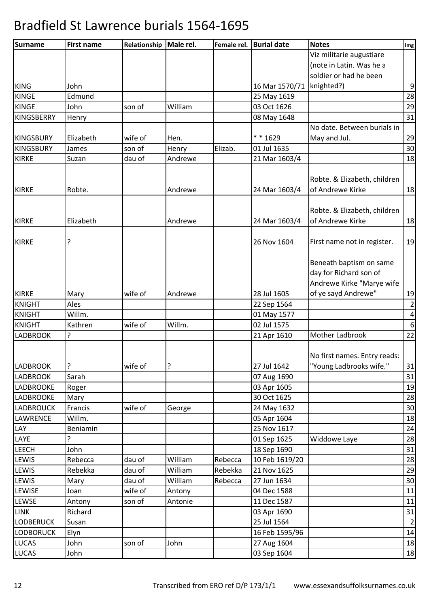| <b>Surname</b>   | <b>First name</b> | Relationship | Male rel. | Female rel. | <b>Burial date</b> | <b>Notes</b>                 | Img              |
|------------------|-------------------|--------------|-----------|-------------|--------------------|------------------------------|------------------|
|                  |                   |              |           |             |                    | Viz militarie augustiare     |                  |
|                  |                   |              |           |             |                    | (note in Latin. Was he a     |                  |
|                  |                   |              |           |             |                    | soldier or had he been       |                  |
| <b>KING</b>      | John              |              |           |             | 16 Mar 1570/71     | knighted?)                   | $\boldsymbol{9}$ |
| <b>KINGE</b>     | Edmund            |              |           |             | 25 May 1619        |                              | 28               |
| <b>KINGE</b>     | John              | son of       | William   |             | 03 Oct 1626        |                              | 29               |
| KINGSBERRY       | Henry             |              |           |             | 08 May 1648        |                              | 31               |
|                  |                   |              |           |             |                    | No date. Between burials in  |                  |
| <b>KINGSBURY</b> | Elizabeth         | wife of      | Hen.      |             | * * 1629           | May and Jul.                 | 29               |
| KINGSBURY        | James             | son of       | Henry     | Elizab.     | 01 Jul 1635        |                              | 30               |
| <b>KIRKE</b>     | Suzan             | dau of       | Andrewe   |             | 21 Mar 1603/4      |                              | 18               |
|                  |                   |              |           |             |                    |                              |                  |
|                  |                   |              |           |             |                    | Robte. & Elizabeth, children |                  |
| <b>KIRKE</b>     | Robte.            |              | Andrewe   |             | 24 Mar 1603/4      | of Andrewe Kirke             | 18               |
|                  |                   |              |           |             |                    |                              |                  |
|                  |                   |              |           |             |                    | Robte. & Elizabeth, children |                  |
| <b>KIRKE</b>     | Elizabeth         |              | Andrewe   |             | 24 Mar 1603/4      | of Andrewe Kirke             | 18               |
|                  |                   |              |           |             |                    |                              |                  |
| <b>KIRKE</b>     | ?                 |              |           |             | 26 Nov 1604        | First name not in register.  | 19               |
|                  |                   |              |           |             |                    |                              |                  |
|                  |                   |              |           |             |                    | Beneath baptism on same      |                  |
|                  |                   |              |           |             |                    | day for Richard son of       |                  |
|                  |                   |              |           |             |                    | Andrewe Kirke "Marye wife    |                  |
| <b>KIRKE</b>     | Mary              | wife of      | Andrewe   |             | 28 Jul 1605        | of ye sayd Andrewe"          | 19               |
| <b>KNIGHT</b>    | Ales              |              |           |             | 22 Sep 1564        |                              | $\overline{2}$   |
| <b>KNIGHT</b>    | Willm.            |              |           |             | 01 May 1577        |                              | $\pmb{4}$        |
| <b>KNIGHT</b>    | Kathren           | wife of      | Willm.    |             | 02 Jul 1575        |                              | $\boldsymbol{6}$ |
| <b>LADBROOK</b>  | ?                 |              |           |             | 21 Apr 1610        | Mother Ladbrook              | 22               |
|                  |                   |              |           |             |                    |                              |                  |
|                  |                   |              |           |             |                    | No first names. Entry reads: |                  |
| <b>LADBROOK</b>  | ?                 | wife of      | ?         |             | 27 Jul 1642        | "Young Ladbrooks wife."      | 31               |
| LADBROOK         | Sarah             |              |           |             | 07 Aug 1690        |                              | 31               |
| <b>LADBROOKE</b> | Roger             |              |           |             | 03 Apr 1605        |                              | 19               |
| <b>LADBROOKE</b> | Mary              |              |           |             | 30 Oct 1625        |                              | 28               |
| LADBROUCK        | Francis           | wife of      | George    |             | 24 May 1632        |                              | 30               |
| <b>LAWRENCE</b>  | Willm.            |              |           |             | 05 Apr 1604        |                              | 18               |
| LAY              | Beniamin          |              |           |             | 25 Nov 1617        |                              | 24               |
| LAYE             | ?                 |              |           |             | 01 Sep 1625        | Widdowe Laye                 | 28               |
| <b>LEECH</b>     | John              |              |           |             | 18 Sep 1690        |                              | 31               |
| LEWIS            | Rebecca           | dau of       | William   | Rebecca     | 10 Feb 1619/20     |                              | 28               |
| LEWIS            | Rebekka           | dau of       | William   | Rebekka     | 21 Nov 1625        |                              | 29               |
| LEWIS            | Mary              | dau of       | William   | Rebecca     | 27 Jun 1634        |                              | 30               |
| LEWISE           | Joan              | wife of      | Antony    |             | 04 Dec 1588        |                              | 11               |
| LEWSE            | Antony            | son of       | Antonie   |             | 11 Dec 1587        |                              | 11               |
| <b>LINK</b>      | Richard           |              |           |             | 03 Apr 1690        |                              | 31               |
| <b>LODBERUCK</b> | Susan             |              |           |             | 25 Jul 1564        |                              | $\overline{2}$   |
| <b>LODBORUCK</b> | Elyn              |              |           |             | 16 Feb 1595/96     |                              | $14\,$           |
| <b>LUCAS</b>     | John              | son of       | John      |             | 27 Aug 1604        |                              | 18               |
| <b>LUCAS</b>     | John              |              |           |             | 03 Sep 1604        |                              | 18               |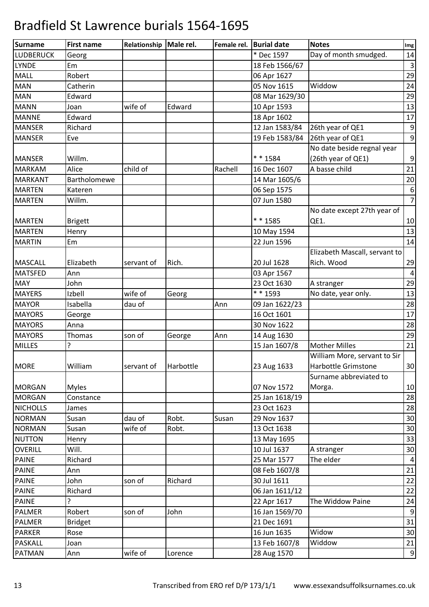| * Dec 1597<br>Day of month smudged.<br>14<br>Georg<br>18 Feb 1566/67<br>Em<br>Robert<br>06 Apr 1627<br><b>MAN</b><br>05 Nov 1615<br>Widdow<br>Catherin<br>Edward<br>08 Mar 1629/30<br>wife of<br>Edward<br>10 Apr 1593<br>Joan<br>Edward<br>18 Apr 1602<br>Richard<br>12 Jan 1583/84<br>26th year of QE1<br>19 Feb 1583/84<br>26th year of QE1<br>Eve<br>No date beside regnal year<br>* * 1584<br>(26th year of QE1)<br>Willm.<br>A basse child<br>Alice<br>child of<br>Rachell<br>16 Dec 1607<br>Bartholomewe<br>14 Mar 1605/6<br>06 Sep 1575<br>Kateren<br>07 Jun 1580<br>Willm.<br>No date except 27th year of<br>$* * 1585$<br>QE1.<br><b>Brigett</b><br>Henry<br>10 May 1594<br>22 Jun 1596<br>Em<br>Elizabeth Mascall, servant to<br>Elizabeth<br>20 Jul 1628<br>Rich. Wood<br>Rich.<br>servant of<br>Ann<br>03 Apr 1567<br>John<br>23 Oct 1630<br>A stranger<br>* * 1593<br>wife of<br>No date, year only.<br>Izbell<br>Georg<br>Isabella<br>dau of<br>Ann<br>09 Jan 1622/23<br>16 Oct 1601<br>George<br>30 Nov 1622<br>Anna<br>Thomas<br>son of<br>14 Aug 1630<br>Ann<br>George<br>?<br><b>Mother Milles</b><br>15 Jan 1607/8<br><b>MILLES</b><br>William More, servant to Sir<br>Harbottle Grimstone<br>William<br>Harbottle<br>23 Aug 1633<br>servant of<br>Surname abbreviated to<br>07 Nov 1572<br><b>Myles</b><br>Morga.<br>Constance<br>25 Jan 1618/19<br>23 Oct 1623<br>James<br>Robt.<br>29 Nov 1637<br>Susan<br>dau of<br>Susan<br>wife of<br>Robt.<br>13 Oct 1638<br>Susan<br>13 May 1695<br>Henry<br>OVERILL<br>Will.<br>10 Jul 1637<br>A stranger<br>Richard<br>25 Mar 1577<br>The elder<br>Ann<br>08 Feb 1607/8<br>John<br>son of<br>Richard<br>30 Jul 1611<br>Richard<br>06 Jan 1611/12<br>?<br>The Widdow Paine<br><b>PAINE</b><br>22 Apr 1617<br>Robert<br>16 Jan 1569/70<br>son of<br>John<br>21 Dec 1691<br><b>Bridget</b><br>Widow<br>16 Jun 1635<br>Rose<br>Widdow<br>13 Feb 1607/8<br>Joan<br>wife of<br>28 Aug 1570<br>Ann<br>Lorence | <b>Surname</b>   | <b>First name</b> | Relationship   Male rel. | Female rel. | <b>Burial date</b> | <b>Notes</b> | Img            |
|----------------------------------------------------------------------------------------------------------------------------------------------------------------------------------------------------------------------------------------------------------------------------------------------------------------------------------------------------------------------------------------------------------------------------------------------------------------------------------------------------------------------------------------------------------------------------------------------------------------------------------------------------------------------------------------------------------------------------------------------------------------------------------------------------------------------------------------------------------------------------------------------------------------------------------------------------------------------------------------------------------------------------------------------------------------------------------------------------------------------------------------------------------------------------------------------------------------------------------------------------------------------------------------------------------------------------------------------------------------------------------------------------------------------------------------------------------------------------------------------------------------------------------------------------------------------------------------------------------------------------------------------------------------------------------------------------------------------------------------------------------------------------------------------------------------------------------------------------------------------------------------------------------------------------------------------------------------------|------------------|-------------------|--------------------------|-------------|--------------------|--------------|----------------|
|                                                                                                                                                                                                                                                                                                                                                                                                                                                                                                                                                                                                                                                                                                                                                                                                                                                                                                                                                                                                                                                                                                                                                                                                                                                                                                                                                                                                                                                                                                                                                                                                                                                                                                                                                                                                                                                                                                                                                                      | <b>LUDBERUCK</b> |                   |                          |             |                    |              |                |
| 29<br>24<br>29<br>13<br>17<br>9<br>9<br>9<br>21<br>20<br>$6\,$<br>$\overline{7}$<br>10<br>13<br>14<br>29<br>$\overline{a}$<br>29<br>13<br>28<br>17<br>28<br>29<br>21<br>30<br>10<br>28<br>28<br>30<br>30<br>33<br>30<br>$\overline{4}$<br>21<br>22<br>22<br>24<br>9<br>31<br>30<br>21<br>9                                                                                                                                                                                                                                                                                                                                                                                                                                                                                                                                                                                                                                                                                                                                                                                                                                                                                                                                                                                                                                                                                                                                                                                                                                                                                                                                                                                                                                                                                                                                                                                                                                                                           | <b>LYNDE</b>     |                   |                          |             |                    |              | $\overline{3}$ |
|                                                                                                                                                                                                                                                                                                                                                                                                                                                                                                                                                                                                                                                                                                                                                                                                                                                                                                                                                                                                                                                                                                                                                                                                                                                                                                                                                                                                                                                                                                                                                                                                                                                                                                                                                                                                                                                                                                                                                                      | <b>MALL</b>      |                   |                          |             |                    |              |                |
|                                                                                                                                                                                                                                                                                                                                                                                                                                                                                                                                                                                                                                                                                                                                                                                                                                                                                                                                                                                                                                                                                                                                                                                                                                                                                                                                                                                                                                                                                                                                                                                                                                                                                                                                                                                                                                                                                                                                                                      |                  |                   |                          |             |                    |              |                |
|                                                                                                                                                                                                                                                                                                                                                                                                                                                                                                                                                                                                                                                                                                                                                                                                                                                                                                                                                                                                                                                                                                                                                                                                                                                                                                                                                                                                                                                                                                                                                                                                                                                                                                                                                                                                                                                                                                                                                                      | <b>MAN</b>       |                   |                          |             |                    |              |                |
|                                                                                                                                                                                                                                                                                                                                                                                                                                                                                                                                                                                                                                                                                                                                                                                                                                                                                                                                                                                                                                                                                                                                                                                                                                                                                                                                                                                                                                                                                                                                                                                                                                                                                                                                                                                                                                                                                                                                                                      | <b>MANN</b>      |                   |                          |             |                    |              |                |
|                                                                                                                                                                                                                                                                                                                                                                                                                                                                                                                                                                                                                                                                                                                                                                                                                                                                                                                                                                                                                                                                                                                                                                                                                                                                                                                                                                                                                                                                                                                                                                                                                                                                                                                                                                                                                                                                                                                                                                      | <b>MANNE</b>     |                   |                          |             |                    |              |                |
|                                                                                                                                                                                                                                                                                                                                                                                                                                                                                                                                                                                                                                                                                                                                                                                                                                                                                                                                                                                                                                                                                                                                                                                                                                                                                                                                                                                                                                                                                                                                                                                                                                                                                                                                                                                                                                                                                                                                                                      | <b>MANSER</b>    |                   |                          |             |                    |              |                |
|                                                                                                                                                                                                                                                                                                                                                                                                                                                                                                                                                                                                                                                                                                                                                                                                                                                                                                                                                                                                                                                                                                                                                                                                                                                                                                                                                                                                                                                                                                                                                                                                                                                                                                                                                                                                                                                                                                                                                                      | <b>MANSER</b>    |                   |                          |             |                    |              |                |
|                                                                                                                                                                                                                                                                                                                                                                                                                                                                                                                                                                                                                                                                                                                                                                                                                                                                                                                                                                                                                                                                                                                                                                                                                                                                                                                                                                                                                                                                                                                                                                                                                                                                                                                                                                                                                                                                                                                                                                      |                  |                   |                          |             |                    |              |                |
|                                                                                                                                                                                                                                                                                                                                                                                                                                                                                                                                                                                                                                                                                                                                                                                                                                                                                                                                                                                                                                                                                                                                                                                                                                                                                                                                                                                                                                                                                                                                                                                                                                                                                                                                                                                                                                                                                                                                                                      | <b>MANSER</b>    |                   |                          |             |                    |              |                |
|                                                                                                                                                                                                                                                                                                                                                                                                                                                                                                                                                                                                                                                                                                                                                                                                                                                                                                                                                                                                                                                                                                                                                                                                                                                                                                                                                                                                                                                                                                                                                                                                                                                                                                                                                                                                                                                                                                                                                                      | <b>MARKAM</b>    |                   |                          |             |                    |              |                |
|                                                                                                                                                                                                                                                                                                                                                                                                                                                                                                                                                                                                                                                                                                                                                                                                                                                                                                                                                                                                                                                                                                                                                                                                                                                                                                                                                                                                                                                                                                                                                                                                                                                                                                                                                                                                                                                                                                                                                                      | <b>MARKANT</b>   |                   |                          |             |                    |              |                |
|                                                                                                                                                                                                                                                                                                                                                                                                                                                                                                                                                                                                                                                                                                                                                                                                                                                                                                                                                                                                                                                                                                                                                                                                                                                                                                                                                                                                                                                                                                                                                                                                                                                                                                                                                                                                                                                                                                                                                                      | <b>MARTEN</b>    |                   |                          |             |                    |              |                |
|                                                                                                                                                                                                                                                                                                                                                                                                                                                                                                                                                                                                                                                                                                                                                                                                                                                                                                                                                                                                                                                                                                                                                                                                                                                                                                                                                                                                                                                                                                                                                                                                                                                                                                                                                                                                                                                                                                                                                                      | <b>MARTEN</b>    |                   |                          |             |                    |              |                |
|                                                                                                                                                                                                                                                                                                                                                                                                                                                                                                                                                                                                                                                                                                                                                                                                                                                                                                                                                                                                                                                                                                                                                                                                                                                                                                                                                                                                                                                                                                                                                                                                                                                                                                                                                                                                                                                                                                                                                                      |                  |                   |                          |             |                    |              |                |
|                                                                                                                                                                                                                                                                                                                                                                                                                                                                                                                                                                                                                                                                                                                                                                                                                                                                                                                                                                                                                                                                                                                                                                                                                                                                                                                                                                                                                                                                                                                                                                                                                                                                                                                                                                                                                                                                                                                                                                      | <b>MARTEN</b>    |                   |                          |             |                    |              |                |
|                                                                                                                                                                                                                                                                                                                                                                                                                                                                                                                                                                                                                                                                                                                                                                                                                                                                                                                                                                                                                                                                                                                                                                                                                                                                                                                                                                                                                                                                                                                                                                                                                                                                                                                                                                                                                                                                                                                                                                      | <b>MARTEN</b>    |                   |                          |             |                    |              |                |
|                                                                                                                                                                                                                                                                                                                                                                                                                                                                                                                                                                                                                                                                                                                                                                                                                                                                                                                                                                                                                                                                                                                                                                                                                                                                                                                                                                                                                                                                                                                                                                                                                                                                                                                                                                                                                                                                                                                                                                      | <b>MARTIN</b>    |                   |                          |             |                    |              |                |
|                                                                                                                                                                                                                                                                                                                                                                                                                                                                                                                                                                                                                                                                                                                                                                                                                                                                                                                                                                                                                                                                                                                                                                                                                                                                                                                                                                                                                                                                                                                                                                                                                                                                                                                                                                                                                                                                                                                                                                      |                  |                   |                          |             |                    |              |                |
|                                                                                                                                                                                                                                                                                                                                                                                                                                                                                                                                                                                                                                                                                                                                                                                                                                                                                                                                                                                                                                                                                                                                                                                                                                                                                                                                                                                                                                                                                                                                                                                                                                                                                                                                                                                                                                                                                                                                                                      | <b>MASCALL</b>   |                   |                          |             |                    |              |                |
|                                                                                                                                                                                                                                                                                                                                                                                                                                                                                                                                                                                                                                                                                                                                                                                                                                                                                                                                                                                                                                                                                                                                                                                                                                                                                                                                                                                                                                                                                                                                                                                                                                                                                                                                                                                                                                                                                                                                                                      | <b>MATSFED</b>   |                   |                          |             |                    |              |                |
|                                                                                                                                                                                                                                                                                                                                                                                                                                                                                                                                                                                                                                                                                                                                                                                                                                                                                                                                                                                                                                                                                                                                                                                                                                                                                                                                                                                                                                                                                                                                                                                                                                                                                                                                                                                                                                                                                                                                                                      | <b>MAY</b>       |                   |                          |             |                    |              |                |
|                                                                                                                                                                                                                                                                                                                                                                                                                                                                                                                                                                                                                                                                                                                                                                                                                                                                                                                                                                                                                                                                                                                                                                                                                                                                                                                                                                                                                                                                                                                                                                                                                                                                                                                                                                                                                                                                                                                                                                      | <b>MAYERS</b>    |                   |                          |             |                    |              |                |
|                                                                                                                                                                                                                                                                                                                                                                                                                                                                                                                                                                                                                                                                                                                                                                                                                                                                                                                                                                                                                                                                                                                                                                                                                                                                                                                                                                                                                                                                                                                                                                                                                                                                                                                                                                                                                                                                                                                                                                      | <b>MAYOR</b>     |                   |                          |             |                    |              |                |
|                                                                                                                                                                                                                                                                                                                                                                                                                                                                                                                                                                                                                                                                                                                                                                                                                                                                                                                                                                                                                                                                                                                                                                                                                                                                                                                                                                                                                                                                                                                                                                                                                                                                                                                                                                                                                                                                                                                                                                      | <b>MAYORS</b>    |                   |                          |             |                    |              |                |
|                                                                                                                                                                                                                                                                                                                                                                                                                                                                                                                                                                                                                                                                                                                                                                                                                                                                                                                                                                                                                                                                                                                                                                                                                                                                                                                                                                                                                                                                                                                                                                                                                                                                                                                                                                                                                                                                                                                                                                      | <b>MAYORS</b>    |                   |                          |             |                    |              |                |
|                                                                                                                                                                                                                                                                                                                                                                                                                                                                                                                                                                                                                                                                                                                                                                                                                                                                                                                                                                                                                                                                                                                                                                                                                                                                                                                                                                                                                                                                                                                                                                                                                                                                                                                                                                                                                                                                                                                                                                      | <b>MAYORS</b>    |                   |                          |             |                    |              |                |
|                                                                                                                                                                                                                                                                                                                                                                                                                                                                                                                                                                                                                                                                                                                                                                                                                                                                                                                                                                                                                                                                                                                                                                                                                                                                                                                                                                                                                                                                                                                                                                                                                                                                                                                                                                                                                                                                                                                                                                      |                  |                   |                          |             |                    |              |                |
|                                                                                                                                                                                                                                                                                                                                                                                                                                                                                                                                                                                                                                                                                                                                                                                                                                                                                                                                                                                                                                                                                                                                                                                                                                                                                                                                                                                                                                                                                                                                                                                                                                                                                                                                                                                                                                                                                                                                                                      |                  |                   |                          |             |                    |              |                |
|                                                                                                                                                                                                                                                                                                                                                                                                                                                                                                                                                                                                                                                                                                                                                                                                                                                                                                                                                                                                                                                                                                                                                                                                                                                                                                                                                                                                                                                                                                                                                                                                                                                                                                                                                                                                                                                                                                                                                                      | <b>MORE</b>      |                   |                          |             |                    |              |                |
|                                                                                                                                                                                                                                                                                                                                                                                                                                                                                                                                                                                                                                                                                                                                                                                                                                                                                                                                                                                                                                                                                                                                                                                                                                                                                                                                                                                                                                                                                                                                                                                                                                                                                                                                                                                                                                                                                                                                                                      |                  |                   |                          |             |                    |              |                |
|                                                                                                                                                                                                                                                                                                                                                                                                                                                                                                                                                                                                                                                                                                                                                                                                                                                                                                                                                                                                                                                                                                                                                                                                                                                                                                                                                                                                                                                                                                                                                                                                                                                                                                                                                                                                                                                                                                                                                                      | <b>MORGAN</b>    |                   |                          |             |                    |              |                |
|                                                                                                                                                                                                                                                                                                                                                                                                                                                                                                                                                                                                                                                                                                                                                                                                                                                                                                                                                                                                                                                                                                                                                                                                                                                                                                                                                                                                                                                                                                                                                                                                                                                                                                                                                                                                                                                                                                                                                                      | <b>MORGAN</b>    |                   |                          |             |                    |              |                |
|                                                                                                                                                                                                                                                                                                                                                                                                                                                                                                                                                                                                                                                                                                                                                                                                                                                                                                                                                                                                                                                                                                                                                                                                                                                                                                                                                                                                                                                                                                                                                                                                                                                                                                                                                                                                                                                                                                                                                                      | <b>NICHOLLS</b>  |                   |                          |             |                    |              |                |
|                                                                                                                                                                                                                                                                                                                                                                                                                                                                                                                                                                                                                                                                                                                                                                                                                                                                                                                                                                                                                                                                                                                                                                                                                                                                                                                                                                                                                                                                                                                                                                                                                                                                                                                                                                                                                                                                                                                                                                      | <b>NORMAN</b>    |                   |                          |             |                    |              |                |
|                                                                                                                                                                                                                                                                                                                                                                                                                                                                                                                                                                                                                                                                                                                                                                                                                                                                                                                                                                                                                                                                                                                                                                                                                                                                                                                                                                                                                                                                                                                                                                                                                                                                                                                                                                                                                                                                                                                                                                      | <b>NORMAN</b>    |                   |                          |             |                    |              |                |
|                                                                                                                                                                                                                                                                                                                                                                                                                                                                                                                                                                                                                                                                                                                                                                                                                                                                                                                                                                                                                                                                                                                                                                                                                                                                                                                                                                                                                                                                                                                                                                                                                                                                                                                                                                                                                                                                                                                                                                      | <b>NUTTON</b>    |                   |                          |             |                    |              |                |
|                                                                                                                                                                                                                                                                                                                                                                                                                                                                                                                                                                                                                                                                                                                                                                                                                                                                                                                                                                                                                                                                                                                                                                                                                                                                                                                                                                                                                                                                                                                                                                                                                                                                                                                                                                                                                                                                                                                                                                      |                  |                   |                          |             |                    |              |                |
|                                                                                                                                                                                                                                                                                                                                                                                                                                                                                                                                                                                                                                                                                                                                                                                                                                                                                                                                                                                                                                                                                                                                                                                                                                                                                                                                                                                                                                                                                                                                                                                                                                                                                                                                                                                                                                                                                                                                                                      | <b>PAINE</b>     |                   |                          |             |                    |              |                |
|                                                                                                                                                                                                                                                                                                                                                                                                                                                                                                                                                                                                                                                                                                                                                                                                                                                                                                                                                                                                                                                                                                                                                                                                                                                                                                                                                                                                                                                                                                                                                                                                                                                                                                                                                                                                                                                                                                                                                                      | <b>PAINE</b>     |                   |                          |             |                    |              |                |
|                                                                                                                                                                                                                                                                                                                                                                                                                                                                                                                                                                                                                                                                                                                                                                                                                                                                                                                                                                                                                                                                                                                                                                                                                                                                                                                                                                                                                                                                                                                                                                                                                                                                                                                                                                                                                                                                                                                                                                      | <b>PAINE</b>     |                   |                          |             |                    |              |                |
|                                                                                                                                                                                                                                                                                                                                                                                                                                                                                                                                                                                                                                                                                                                                                                                                                                                                                                                                                                                                                                                                                                                                                                                                                                                                                                                                                                                                                                                                                                                                                                                                                                                                                                                                                                                                                                                                                                                                                                      | <b>PAINE</b>     |                   |                          |             |                    |              |                |
|                                                                                                                                                                                                                                                                                                                                                                                                                                                                                                                                                                                                                                                                                                                                                                                                                                                                                                                                                                                                                                                                                                                                                                                                                                                                                                                                                                                                                                                                                                                                                                                                                                                                                                                                                                                                                                                                                                                                                                      |                  |                   |                          |             |                    |              |                |
|                                                                                                                                                                                                                                                                                                                                                                                                                                                                                                                                                                                                                                                                                                                                                                                                                                                                                                                                                                                                                                                                                                                                                                                                                                                                                                                                                                                                                                                                                                                                                                                                                                                                                                                                                                                                                                                                                                                                                                      | <b>PALMER</b>    |                   |                          |             |                    |              |                |
|                                                                                                                                                                                                                                                                                                                                                                                                                                                                                                                                                                                                                                                                                                                                                                                                                                                                                                                                                                                                                                                                                                                                                                                                                                                                                                                                                                                                                                                                                                                                                                                                                                                                                                                                                                                                                                                                                                                                                                      | <b>PALMER</b>    |                   |                          |             |                    |              |                |
|                                                                                                                                                                                                                                                                                                                                                                                                                                                                                                                                                                                                                                                                                                                                                                                                                                                                                                                                                                                                                                                                                                                                                                                                                                                                                                                                                                                                                                                                                                                                                                                                                                                                                                                                                                                                                                                                                                                                                                      | <b>PARKER</b>    |                   |                          |             |                    |              |                |
|                                                                                                                                                                                                                                                                                                                                                                                                                                                                                                                                                                                                                                                                                                                                                                                                                                                                                                                                                                                                                                                                                                                                                                                                                                                                                                                                                                                                                                                                                                                                                                                                                                                                                                                                                                                                                                                                                                                                                                      | <b>PASKALL</b>   |                   |                          |             |                    |              |                |
|                                                                                                                                                                                                                                                                                                                                                                                                                                                                                                                                                                                                                                                                                                                                                                                                                                                                                                                                                                                                                                                                                                                                                                                                                                                                                                                                                                                                                                                                                                                                                                                                                                                                                                                                                                                                                                                                                                                                                                      | <b>PATMAN</b>    |                   |                          |             |                    |              |                |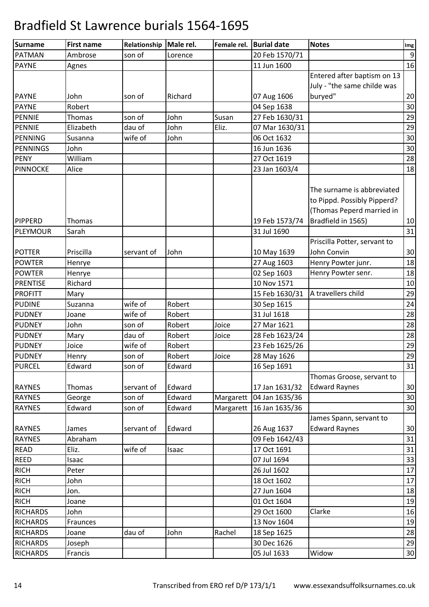| Surname         | <b>First name</b> | Relationship | Male rel. | Female rel. | <b>Burial date</b> | <b>Notes</b>                 | Img              |
|-----------------|-------------------|--------------|-----------|-------------|--------------------|------------------------------|------------------|
| <b>PATMAN</b>   | Ambrose           | son of       | Lorence   |             | 20 Feb 1570/71     |                              | $\boldsymbol{9}$ |
| <b>PAYNE</b>    | Agnes             |              |           |             | 11 Jun 1600        |                              | 16               |
|                 |                   |              |           |             |                    | Entered after baptism on 13  |                  |
|                 |                   |              |           |             |                    | July - "the same childe was  |                  |
| <b>PAYNE</b>    | John              | son of       | Richard   |             | 07 Aug 1606        | buryed"                      | 20               |
| <b>PAYNE</b>    | Robert            |              |           |             | 04 Sep 1638        |                              | 30               |
| <b>PENNIE</b>   | Thomas            | son of       | John      | Susan       | 27 Feb 1630/31     |                              | 29               |
| PENNIE          | Elizabeth         | dau of       | John      | Eliz.       | 07 Mar 1630/31     |                              | 29               |
| PENNING         | Susanna           | wife of      | John      |             | 06 Oct 1632        |                              | 30               |
| PENNINGS        | John              |              |           |             | 16 Jun 1636        |                              | 30               |
| <b>PENY</b>     | William           |              |           |             | 27 Oct 1619        |                              | 28               |
| <b>PINNOCKE</b> | Alice             |              |           |             | 23 Jan 1603/4      |                              | 18               |
|                 |                   |              |           |             |                    |                              |                  |
|                 |                   |              |           |             |                    | The surname is abbreviated   |                  |
|                 |                   |              |           |             |                    | to Pippd. Possibly Pipperd?  |                  |
|                 |                   |              |           |             |                    | (Thomas Peperd married in    |                  |
| <b>PIPPERD</b>  | Thomas            |              |           |             | 19 Feb 1573/74     | Bradfield in 1565)           | 10               |
| PLEYMOUR        | Sarah             |              |           |             | 31 Jul 1690        |                              | 31               |
|                 |                   |              |           |             |                    | Priscilla Potter, servant to |                  |
| <b>POTTER</b>   | Priscilla         | servant of   | John      |             | 10 May 1639        | John Convin                  | 30               |
| <b>POWTER</b>   | Henrye            |              |           |             | 27 Aug 1603        | Henry Powter junr.           | 18               |
| <b>POWTER</b>   | Henrye            |              |           |             | 02 Sep 1603        | Henry Powter senr.           | 18               |
| <b>PRENTISE</b> | Richard           |              |           |             | 10 Nov 1571        |                              | 10               |
| <b>PROFITT</b>  | Mary              |              |           |             | 15 Feb 1630/31     | A travellers child           | 29               |
| <b>PUDINE</b>   | Suzanna           | wife of      | Robert    |             | 30 Sep 1615        |                              | 24               |
| <b>PUDNEY</b>   | Joane             | wife of      | Robert    |             | 31 Jul 1618        |                              | 28               |
| <b>PUDNEY</b>   | John              | son of       | Robert    | Joice       | 27 Mar 1621        |                              | 28               |
| <b>PUDNEY</b>   | Mary              | dau of       | Robert    | Joice       | 28 Feb 1623/24     |                              | 28               |
| <b>PUDNEY</b>   | Joice             | wife of      | Robert    |             | 23 Feb 1625/26     |                              | 29               |
| <b>PUDNEY</b>   | Henry             | son of       | Robert    | Joice       | 28 May 1626        |                              | 29               |
| <b>PURCEL</b>   | Edward            | son of       | Edward    |             | 16 Sep 1691        |                              | 31               |
|                 |                   |              |           |             |                    | Thomas Groose, servant to    |                  |
| <b>RAYNES</b>   | Thomas            | servant of   | Edward    |             | 17 Jan 1631/32     | <b>Edward Raynes</b>         | 30               |
| <b>RAYNES</b>   | George            | son of       | Edward    | Margarett   | 04 Jan 1635/36     |                              | 30               |
| <b>RAYNES</b>   | Edward            | son of       | Edward    | Margarett   | 16 Jan 1635/36     |                              | 30               |
|                 |                   |              |           |             |                    | James Spann, servant to      |                  |
| <b>RAYNES</b>   | James             | servant of   | Edward    |             | 26 Aug 1637        | <b>Edward Raynes</b>         | 30               |
| <b>RAYNES</b>   | Abraham           |              |           |             | 09 Feb 1642/43     |                              | 31               |
| <b>READ</b>     | Eliz.             | wife of      | Isaac     |             | 17 Oct 1691        |                              | 31               |
| <b>REED</b>     | Isaac             |              |           |             | 07 Jul 1694        |                              | 33               |
| <b>RICH</b>     | Peter             |              |           |             | 26 Jul 1602        |                              | $17\,$           |
| <b>RICH</b>     | John              |              |           |             | 18 Oct 1602        |                              | $17\,$           |
| <b>RICH</b>     | Jon.              |              |           |             | 27 Jun 1604        |                              | 18               |
| <b>RICH</b>     | Joane             |              |           |             | 01 Oct 1604        |                              | 19               |
| <b>RICHARDS</b> | John              |              |           |             | 29 Oct 1600        | Clarke                       | 16               |
| <b>RICHARDS</b> | Fraunces          |              |           |             | 13 Nov 1604        |                              | 19               |
| <b>RICHARDS</b> | Joane             | dau of       | John      | Rachel      | 18 Sep 1625        |                              | 28               |
| <b>RICHARDS</b> | Joseph            |              |           |             | 30 Dec 1626        |                              | 29               |
| <b>RICHARDS</b> | Francis           |              |           |             | 05 Jul 1633        | Widow                        | 30               |
|                 |                   |              |           |             |                    |                              |                  |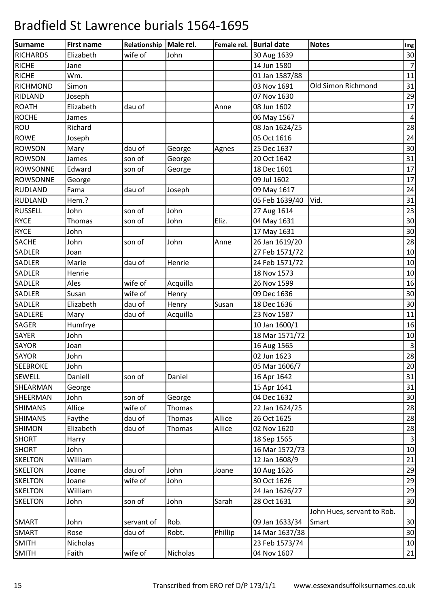| Surname         | <b>First name</b> | Relationship   Male rel. |          | Female rel. | <b>Burial date</b> | <b>Notes</b>               | Img            |
|-----------------|-------------------|--------------------------|----------|-------------|--------------------|----------------------------|----------------|
| <b>RICHARDS</b> | Elizabeth         | wife of                  | John     |             | 30 Aug 1639        |                            | 30             |
| <b>RICHE</b>    | Jane              |                          |          |             | 14 Jun 1580        |                            | $\overline{7}$ |
| <b>RICHE</b>    | Wm.               |                          |          |             | 01 Jan 1587/88     |                            | 11             |
| <b>RICHMOND</b> | Simon             |                          |          |             | 03 Nov 1691        | Old Simon Richmond         | 31             |
| RIDLAND         | Joseph            |                          |          |             | 07 Nov 1630        |                            | 29             |
| <b>ROATH</b>    | Elizabeth         | dau of                   |          | Anne        | 08 Jun 1602        |                            | 17             |
| <b>ROCHE</b>    | James             |                          |          |             | 06 May 1567        |                            | 4              |
| <b>ROU</b>      | Richard           |                          |          |             | 08 Jan 1624/25     |                            | 28             |
| <b>ROWE</b>     | Joseph            |                          |          |             | 05 Oct 1616        |                            | 24             |
| <b>ROWSON</b>   | Mary              | dau of                   | George   | Agnes       | 25 Dec 1637        |                            | 30             |
| <b>ROWSON</b>   | James             | son of                   | George   |             | 20 Oct 1642        |                            | 31             |
| <b>ROWSONNE</b> | Edward            | son of                   | George   |             | 18 Dec 1601        |                            | 17             |
| <b>ROWSONNE</b> | George            |                          |          |             | 09 Jul 1602        |                            | 17             |
| <b>RUDLAND</b>  | Fama              | dau of                   | Joseph   |             | 09 May 1617        |                            | 24             |
| <b>RUDLAND</b>  | Hem.?             |                          |          |             | 05 Feb 1639/40     | Vid.                       | 31             |
| <b>RUSSELL</b>  | John              | son of                   | John     |             | 27 Aug 1614        |                            | 23             |
| <b>RYCE</b>     | Thomas            | son of                   | John     | Eliz.       | 04 May 1631        |                            | 30             |
| <b>RYCE</b>     | John              |                          |          |             | 17 May 1631        |                            | 30             |
| <b>SACHE</b>    | John              | son of                   | John     | Anne        | 26 Jan 1619/20     |                            | 28             |
| SADLER          | Joan              |                          |          |             | 27 Feb 1571/72     |                            | 10             |
| SADLER          | Marie             | dau of                   | Henrie   |             | 24 Feb 1571/72     |                            | 10             |
| SADLER          | Henrie            |                          |          |             | 18 Nov 1573        |                            | 10             |
| SADLER          | Ales              | wife of                  | Acquilla |             | 26 Nov 1599        |                            | 16             |
| SADLER          | Susan             | wife of                  | Henry    |             | 09 Dec 1636        |                            | 30             |
| SADLER          | Elizabeth         | dau of                   | Henry    | Susan       | 18 Dec 1636        |                            | 30             |
| SADLERE         | Mary              | dau of                   | Acquilla |             | 23 Nov 1587        |                            | 11             |
| SAGER           | Humfrye           |                          |          |             | 10 Jan 1600/1      |                            | 16             |
| SAYER           | John              |                          |          |             | 18 Mar 1571/72     |                            | 10             |
| SAYOR           | Joan              |                          |          |             | 16 Aug 1565        |                            | $\overline{3}$ |
| <b>SAYOR</b>    | John              |                          |          |             | 02 Jun 1623        |                            | 28             |
| <b>SEEBROKE</b> | John              |                          |          |             | 05 Mar 1606/7      |                            | 20             |
| <b>SEWELL</b>   | Daniell           | son of                   | Daniel   |             | 16 Apr 1642        |                            | 31             |
| SHEARMAN        | George            |                          |          |             | 15 Apr 1641        |                            | 31             |
| SHEERMAN        | John              | son of                   | George   |             | 04 Dec 1632        |                            | 30             |
| <b>SHIMANS</b>  | Allice            | wife of                  | Thomas   |             | 22 Jan 1624/25     |                            | 28             |
| <b>SHIMANS</b>  | Faythe            | dau of                   | Thomas   | Allice      | 26 Oct 1625        |                            | 28             |
| <b>SHIMON</b>   | Elizabeth         | dau of                   | Thomas   | Allice      | 02 Nov 1620        |                            | 28             |
| <b>SHORT</b>    | Harry             |                          |          |             | 18 Sep 1565        |                            | $\overline{3}$ |
| <b>SHORT</b>    | John              |                          |          |             | 16 Mar 1572/73     |                            | 10             |
| <b>SKELTON</b>  | William           |                          |          |             | 12 Jan 1608/9      |                            | 21             |
| <b>SKELTON</b>  | Joane             | dau of                   | John     | Joane       | 10 Aug 1626        |                            | 29             |
| <b>SKELTON</b>  | Joane             | wife of                  | John     |             | 30 Oct 1626        |                            | 29             |
| <b>SKELTON</b>  | William           |                          |          |             | 24 Jan 1626/27     |                            | 29             |
| <b>SKELTON</b>  | John              | son of                   | John     | Sarah       | 28 Oct 1631        |                            | 30             |
|                 |                   |                          |          |             |                    | John Hues, servant to Rob. |                |
| <b>SMART</b>    | John              | servant of               | Rob.     |             | 09 Jan 1633/34     | Smart                      | 30             |
| <b>SMART</b>    | Rose              | dau of                   | Robt.    | Phillip     | 14 Mar 1637/38     |                            | 30             |
| <b>SMITH</b>    | Nicholas          |                          |          |             | 23 Feb 1573/74     |                            | 10             |
| <b>SMITH</b>    | Faith             | wife of                  | Nicholas |             | 04 Nov 1607        |                            | 21             |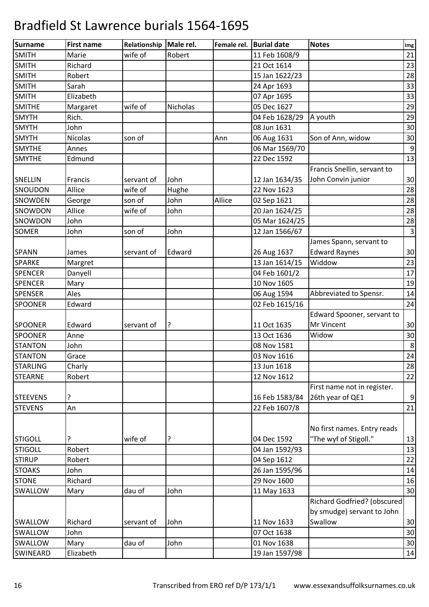| Surname         | <b>First name</b> | Relationship   Male rel. |          | Female rel. | <b>Burial date</b> | <b>Notes</b>                | Img            |
|-----------------|-------------------|--------------------------|----------|-------------|--------------------|-----------------------------|----------------|
| <b>SMITH</b>    | Marie             | wife of                  | Robert   |             | 11 Feb 1608/9      |                             | 21             |
| <b>SMITH</b>    | Richard           |                          |          |             | 21 Oct 1614        |                             | 23             |
| <b>SMITH</b>    | Robert            |                          |          |             | 15 Jan 1622/23     |                             | 28             |
| <b>SMITH</b>    | Sarah             |                          |          |             | 24 Apr 1693        |                             | 33             |
| <b>SMITH</b>    | Elizabeth         |                          |          |             | 07 Apr 1695        |                             | 33             |
| <b>SMITHE</b>   | Margaret          | wife of                  | Nicholas |             | 05 Dec 1627        |                             | 29             |
| <b>SMYTH</b>    | Rich.             |                          |          |             | 04 Feb 1628/29     | A youth                     | 29             |
| <b>SMYTH</b>    | John              |                          |          |             | 08 Jun 1631        |                             | 30             |
| <b>SMYTH</b>    | <b>Nicolas</b>    | son of                   |          | Ann         | 06 Aug 1631        | Son of Ann, widow           | 30             |
| <b>SMYTHE</b>   | Annes             |                          |          |             | 06 Mar 1569/70     |                             | 9              |
| <b>SMYTHE</b>   | Edmund            |                          |          |             | 22 Dec 1592        |                             | 13             |
|                 |                   |                          |          |             |                    | Francis Snellin, servant to |                |
| SNELLIN         | Francis           | servant of               | John     |             | 12 Jan 1634/35     | John Convin junior          | 30             |
| SNOUDON         | Allice            | wife of                  | Hughe    |             | 22 Nov 1623        |                             | 28             |
| SNOWDEN         | George            | son of                   | John     | Allice      | 02 Sep 1621        |                             | 28             |
| SNOWDON         | Allice            | wife of                  | John     |             | 20 Jan 1624/25     |                             | 28             |
| SNOWDON         | John              |                          |          |             | 05 Mar 1624/25     |                             | 28             |
| <b>SOMER</b>    | John              | son of                   | John     |             | 12 Jan 1566/67     |                             | $\overline{3}$ |
|                 |                   |                          |          |             |                    | James Spann, servant to     |                |
| <b>SPANN</b>    | James             | servant of               | Edward   |             | 26 Aug 1637        | <b>Edward Raynes</b>        | 30             |
| <b>SPARKE</b>   | Margret           |                          |          |             | 13 Jan 1614/15     | Widdow                      | 23             |
| <b>SPENCER</b>  | Danyell           |                          |          |             | 04 Feb 1601/2      |                             | 17             |
| <b>SPENCER</b>  | Mary              |                          |          |             | 10 Nov 1605        |                             | 19             |
| <b>SPENSER</b>  | Ales              |                          |          |             | 06 Aug 1594        | Abbreviated to Spensr.      | 14             |
| <b>SPOONER</b>  | Edward            |                          |          |             | 02 Feb 1615/16     |                             | 24             |
|                 |                   |                          |          |             |                    | Edward Spooner, servant to  |                |
| <b>SPOONER</b>  | Edward            | servant of               | ?        |             | 11 Oct 1635        | Mr Vincent                  | 30             |
| <b>SPOONER</b>  | Anne              |                          |          |             | 13 Oct 1636        | Widow                       | 30             |
| <b>STANTON</b>  | John              |                          |          |             | 08 Nov 1581        |                             | 8              |
| <b>STANTON</b>  | Grace             |                          |          |             | 03 Nov 1616        |                             | 24             |
| <b>STARLING</b> | Charly            |                          |          |             | 13 Jun 1618        |                             | 28             |
| <b>STEARNE</b>  | Robert            |                          |          |             | 12 Nov 1612        |                             | 22             |
|                 |                   |                          |          |             |                    | First name not in register. |                |
| <b>STEEVENS</b> | ?                 |                          |          |             | 16 Feb 1583/84     | 26th year of QE1            | 9              |
| <b>STEVENS</b>  | An                |                          |          |             | 22 Feb 1607/8      |                             | 21             |
|                 |                   |                          |          |             |                    |                             |                |
|                 |                   |                          |          |             |                    | No first names. Entry reads |                |
| <b>STIGOLL</b>  | ?                 | wife of                  | ?        |             | 04 Dec 1592        | "The wyf of Stigoll."       | 13             |
| <b>STIGOLL</b>  | Robert            |                          |          |             | 04 Jan 1592/93     |                             | 13             |
| <b>STIRUP</b>   | Robert            |                          |          |             | 04 Sep 1612        |                             | 22             |
| <b>STOAKS</b>   | John              |                          |          |             | 26 Jan 1595/96     |                             | 14             |
| <b>STONE</b>    | Richard           |                          |          |             | 29 Nov 1600        |                             | 16             |
| SWALLOW         | Mary              | dau of                   | John     |             | 11 May 1633        |                             | 30             |
|                 |                   |                          |          |             |                    | Richard Godfried? (obscured |                |
|                 |                   |                          |          |             |                    | by smudge) servant to John  |                |
| SWALLOW         | Richard           | servant of               | John     |             | 11 Nov 1633        | Swallow                     | 30             |
| SWALLOW         | John              |                          |          |             | 07 Oct 1638        |                             | 30             |
| SWALLOW         | Mary              | dau of                   | John     |             | 01 Nov 1638        |                             | 30             |
| <b>SWINEARD</b> | Elizabeth         |                          |          |             | 19 Jan 1597/98     |                             | 14             |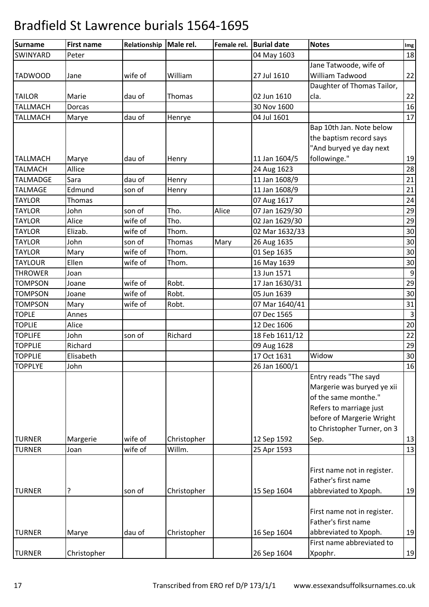| <b>Surname</b>  | <b>First name</b> | Relationship | Male rel.   | Female rel. | <b>Burial date</b> | <b>Notes</b>                | Img              |
|-----------------|-------------------|--------------|-------------|-------------|--------------------|-----------------------------|------------------|
| SWINYARD        | Peter             |              |             |             | 04 May 1603        |                             | 18               |
|                 |                   |              |             |             |                    | Jane Tatwoode, wife of      |                  |
| <b>TADWOOD</b>  | Jane              | wife of      | William     |             | 27 Jul 1610        | William Tadwood             | 22               |
|                 |                   |              |             |             |                    | Daughter of Thomas Tailor,  |                  |
| <b>TAILOR</b>   | Marie             | dau of       | Thomas      |             | 02 Jun 1610        | cla.                        | 22               |
| <b>TALLMACH</b> | Dorcas            |              |             |             | 30 Nov 1600        |                             | 16               |
| <b>TALLMACH</b> | Marye             | dau of       | Henrye      |             | 04 Jul 1601        |                             | 17               |
|                 |                   |              |             |             |                    | Bap 10th Jan. Note below    |                  |
|                 |                   |              |             |             |                    | the baptism record says     |                  |
|                 |                   |              |             |             |                    | "And buryed ye day next     |                  |
| <b>TALLMACH</b> | Marye             | dau of       | Henry       |             | 11 Jan 1604/5      | followinge."                | 19               |
| <b>TALMACH</b>  | Allice            |              |             |             | 24 Aug 1623        |                             | 28               |
| <b>TALMADGE</b> | Sara              | dau of       | Henry       |             | 11 Jan 1608/9      |                             | 21               |
| <b>TALMAGE</b>  | Edmund            | son of       | Henry       |             | 11 Jan 1608/9      |                             | 21               |
| <b>TAYLOR</b>   | Thomas            |              |             |             | 07 Aug 1617        |                             | 24               |
| <b>TAYLOR</b>   | John              | son of       | Tho.        | Alice       | 07 Jan 1629/30     |                             | 29               |
| <b>TAYLOR</b>   | Alice             | wife of      | Tho.        |             | 02 Jan 1629/30     |                             | 29               |
| <b>TAYLOR</b>   | Elizab.           | wife of      | Thom.       |             | 02 Mar 1632/33     |                             | 30               |
| <b>TAYLOR</b>   | John              | son of       | Thomas      | Mary        | 26 Aug 1635        |                             | 30               |
| <b>TAYLOR</b>   | Mary              | wife of      | Thom.       |             | 01 Sep 1635        |                             | 30               |
| <b>TAYLOUR</b>  | Ellen             | wife of      | Thom.       |             | 16 May 1639        |                             | 30               |
| <b>THROWER</b>  | Joan              |              |             |             | 13 Jun 1571        |                             | $\boldsymbol{9}$ |
| <b>TOMPSON</b>  | Joane             | wife of      | Robt.       |             | 17 Jan 1630/31     |                             | 29               |
| <b>TOMPSON</b>  | Joane             | wife of      | Robt.       |             | 05 Jun 1639        |                             | 30               |
| <b>TOMPSON</b>  | Mary              | wife of      | Robt.       |             | 07 Mar 1640/41     |                             | 31               |
| <b>TOPLE</b>    | Annes             |              |             |             | 07 Dec 1565        |                             | $\overline{3}$   |
| <b>TOPLIE</b>   | Alice             |              |             |             | 12 Dec 1606        |                             | 20               |
| <b>TOPLIFE</b>  | John              | son of       | Richard     |             | 18 Feb 1611/12     |                             | 22               |
| <b>TOPPLIE</b>  | Richard           |              |             |             | 09 Aug 1628        |                             | 29               |
| <b>TOPPLIE</b>  | Elisabeth         |              |             |             | 17 Oct 1631        | Widow                       | 30               |
| <b>TOPPLYE</b>  | John              |              |             |             | 26 Jan 1600/1      |                             | 16               |
|                 |                   |              |             |             |                    | Entry reads "The sayd       |                  |
|                 |                   |              |             |             |                    | Margerie was buryed ye xii  |                  |
|                 |                   |              |             |             |                    | of the same monthe."        |                  |
|                 |                   |              |             |             |                    | Refers to marriage just     |                  |
|                 |                   |              |             |             |                    | before of Margerie Wright   |                  |
|                 |                   |              |             |             |                    | to Christopher Turner, on 3 |                  |
| <b>TURNER</b>   | Margerie          | wife of      | Christopher |             | 12 Sep 1592        | Sep.                        | 13               |
| <b>TURNER</b>   | Joan              | wife of      | Willm.      |             | 25 Apr 1593        |                             | 13               |
|                 |                   |              |             |             |                    |                             |                  |
|                 |                   |              |             |             |                    | First name not in register. |                  |
|                 |                   |              |             |             |                    | Father's first name         |                  |
| <b>TURNER</b>   | ?                 | son of       | Christopher |             | 15 Sep 1604        | abbreviated to Xpoph.       | 19               |
|                 |                   |              |             |             |                    |                             |                  |
|                 |                   |              |             |             |                    | First name not in register. |                  |
|                 |                   |              |             |             |                    | Father's first name         |                  |
| <b>TURNER</b>   | Marye             | dau of       | Christopher |             | 16 Sep 1604        | abbreviated to Xpoph.       | 19               |
|                 |                   |              |             |             |                    | First name abbreviated to   |                  |
| <b>TURNER</b>   | Christopher       |              |             |             | 26 Sep 1604        | Xpophr.                     | 19               |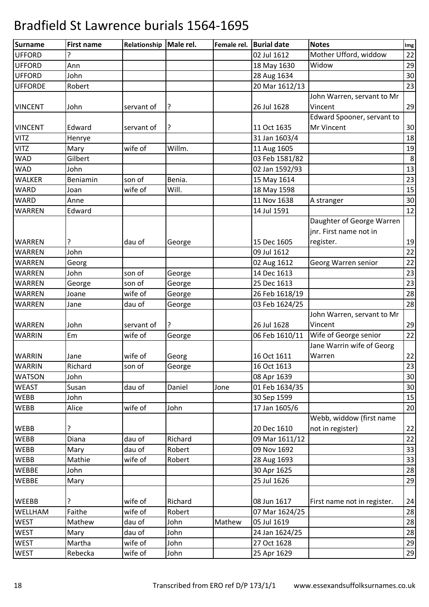| <b>Surname</b> | <b>First name</b> | Relationship   Male rel. |         | Female rel. | <b>Burial date</b> | <b>Notes</b>                | Img |
|----------------|-------------------|--------------------------|---------|-------------|--------------------|-----------------------------|-----|
| <b>UFFORD</b>  | ?                 |                          |         |             | 02 Jul 1612        | Mother Ufford, widdow       | 22  |
| <b>UFFORD</b>  | Ann               |                          |         |             | 18 May 1630        | Widow                       | 29  |
| <b>UFFORD</b>  | John              |                          |         |             | 28 Aug 1634        |                             | 30  |
| <b>UFFORDE</b> | Robert            |                          |         |             | 20 Mar 1612/13     |                             | 23  |
|                |                   |                          |         |             |                    | John Warren, servant to Mr  |     |
| <b>VINCENT</b> | John              | servant of               | ?       |             | 26 Jul 1628        | Vincent                     | 29  |
|                |                   |                          |         |             |                    | Edward Spooner, servant to  |     |
| <b>VINCENT</b> | Edward            | servant of               | ?       |             | 11 Oct 1635        | Mr Vincent                  | 30  |
| <b>VITZ</b>    | Henrye            |                          |         |             | 31 Jan 1603/4      |                             | 18  |
| <b>VITZ</b>    | Mary              | wife of                  | Willm.  |             | 11 Aug 1605        |                             | 19  |
| <b>WAD</b>     | Gilbert           |                          |         |             | 03 Feb 1581/82     |                             | 8   |
| <b>WAD</b>     | John              |                          |         |             | 02 Jan 1592/93     |                             | 13  |
| <b>WALKER</b>  | Beniamin          | son of                   | Benia.  |             | 15 May 1614        |                             | 23  |
| <b>WARD</b>    | Joan              | wife of                  | Will.   |             | 18 May 1598        |                             | 15  |
| <b>WARD</b>    | Anne              |                          |         |             | 11 Nov 1638        | A stranger                  | 30  |
| <b>WARREN</b>  | Edward            |                          |         |             | 14 Jul 1591        |                             | 12  |
|                |                   |                          |         |             |                    | Daughter of George Warren   |     |
|                |                   |                          |         |             |                    | jnr. First name not in      |     |
| <b>WARREN</b>  | ?                 | dau of                   | George  |             | 15 Dec 1605        | register.                   | 19  |
| <b>WARREN</b>  | John              |                          |         |             | 09 Jul 1612        |                             | 22  |
| <b>WARREN</b>  | Georg             |                          |         |             | 02 Aug 1612        | Georg Warren senior         | 22  |
| <b>WARREN</b>  | John              | son of                   | George  |             | 14 Dec 1613        |                             | 23  |
| <b>WARREN</b>  | George            | son of                   | George  |             | 25 Dec 1613        |                             | 23  |
| <b>WARREN</b>  | Joane             | wife of                  | George  |             | 26 Feb 1618/19     |                             | 28  |
| WARREN         | Jane              | dau of                   | George  |             | 03 Feb 1624/25     |                             | 28  |
|                |                   |                          |         |             |                    | John Warren, servant to Mr  |     |
| <b>WARREN</b>  | John              | servant of               | ?       |             | 26 Jul 1628        | Vincent                     | 29  |
| <b>WARRIN</b>  | Em                | wife of                  | George  |             | 06 Feb 1610/11     | Wife of George senior       | 22  |
|                |                   |                          |         |             |                    | Jane Warrin wife of Georg   |     |
| <b>WARRIN</b>  | Jane              | wife of                  | Georg   |             | 16 Oct 1611        | Warren                      | 22  |
| <b>WARRIN</b>  | Richard           | son of                   | George  |             | 16 Oct 1613        |                             | 23  |
| <b>WATSON</b>  | John              |                          |         |             | 08 Apr 1639        |                             | 30  |
| <b>WEAST</b>   | Susan             | dau of                   | Daniel  | Jone        | 01 Feb 1634/35     |                             | 30  |
| <b>WEBB</b>    | John              |                          |         |             | 30 Sep 1599        |                             | 15  |
| <b>WEBB</b>    | Alice             | wife of                  | John    |             | 17 Jan 1605/6      |                             | 20  |
|                |                   |                          |         |             |                    | Webb, widdow (first name    |     |
| <b>WEBB</b>    | ?                 |                          |         |             | 20 Dec 1610        | not in register)            | 22  |
| <b>WEBB</b>    | Diana             | dau of                   | Richard |             | 09 Mar 1611/12     |                             | 22  |
| <b>WEBB</b>    | Mary              | dau of                   | Robert  |             | 09 Nov 1692        |                             | 33  |
| <b>WEBB</b>    | Mathie            | wife of                  | Robert  |             | 28 Aug 1693        |                             | 33  |
| <b>WEBBE</b>   | John              |                          |         |             | 30 Apr 1625        |                             | 28  |
| <b>WEBBE</b>   | Mary              |                          |         |             | 25 Jul 1626        |                             | 29  |
|                |                   |                          |         |             |                    |                             |     |
| <b>WEEBB</b>   | ?                 | wife of                  | Richard |             | 08 Jun 1617        | First name not in register. | 24  |
| WELLHAM        | Faithe            | wife of                  | Robert  |             | 07 Mar 1624/25     |                             | 28  |
| <b>WEST</b>    | Mathew            | dau of                   | John    | Mathew      | 05 Jul 1619        |                             | 28  |
| <b>WEST</b>    | Mary              | dau of                   | John    |             | 24 Jan 1624/25     |                             | 28  |
| <b>WEST</b>    | Martha            | wife of                  | John    |             | 27 Oct 1628        |                             | 29  |
| <b>WEST</b>    | Rebecka           | wife of                  | John    |             | 25 Apr 1629        |                             | 29  |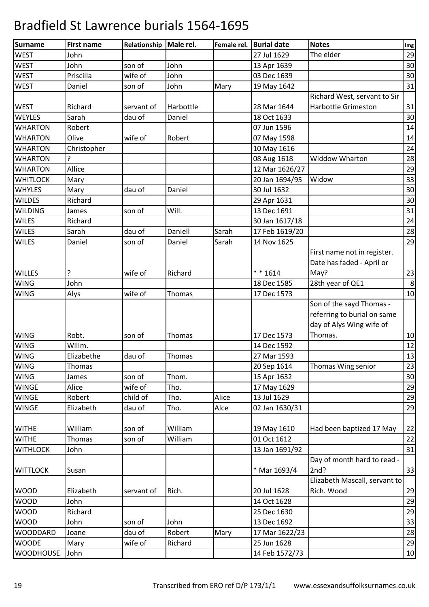| <b>Surname</b>   | <b>First name</b> | Relationship   Male rel. |           | Female rel. | <b>Burial date</b> | <b>Notes</b>                  | Img |
|------------------|-------------------|--------------------------|-----------|-------------|--------------------|-------------------------------|-----|
| <b>WEST</b>      | John              |                          |           |             | 27 Jul 1629        | The elder                     | 29  |
| <b>WEST</b>      | John              | son of                   | John      |             | 13 Apr 1639        |                               | 30  |
| <b>WEST</b>      | Priscilla         | wife of                  | John      |             | 03 Dec 1639        |                               | 30  |
| <b>WEST</b>      | Daniel            | son of                   | John      | Mary        | 19 May 1642        |                               | 31  |
|                  |                   |                          |           |             |                    | Richard West, servant to Sir  |     |
| <b>WEST</b>      | Richard           | servant of               | Harbottle |             | 28 Mar 1644        | <b>Harbottle Grimeston</b>    | 31  |
| <b>WEYLES</b>    | Sarah             | dau of                   | Daniel    |             | 18 Oct 1633        |                               | 30  |
| <b>WHARTON</b>   | Robert            |                          |           |             | 07 Jun 1596        |                               | 14  |
| <b>WHARTON</b>   | Olive             | wife of                  | Robert    |             | 07 May 1598        |                               | 14  |
| <b>WHARTON</b>   | Christopher       |                          |           |             | 10 May 1616        |                               | 24  |
| <b>WHARTON</b>   | ?                 |                          |           |             | 08 Aug 1618        | Widdow Wharton                | 28  |
| <b>WHARTON</b>   | Allice            |                          |           |             | 12 Mar 1626/27     |                               | 29  |
| <b>WHITLOCK</b>  | Mary              |                          |           |             | 20 Jan 1694/95     | Widow                         | 33  |
| <b>WHYLES</b>    | Mary              | dau of                   | Daniel    |             | 30 Jul 1632        |                               | 30  |
| <b>WILDES</b>    | Richard           |                          |           |             | 29 Apr 1631        |                               | 30  |
| <b>WILDING</b>   | James             | son of                   | Will.     |             | 13 Dec 1691        |                               | 31  |
| <b>WILES</b>     | Richard           |                          |           |             | 30 Jan 1617/18     |                               | 24  |
| <b>WILES</b>     | Sarah             | dau of                   | Daniell   | Sarah       | 17 Feb 1619/20     |                               | 28  |
| <b>WILES</b>     | Daniel            | son of                   | Daniel    | Sarah       | 14 Nov 1625        |                               | 29  |
|                  |                   |                          |           |             |                    | First name not in register.   |     |
|                  |                   |                          |           |             |                    | Date has faded - April or     |     |
| <b>WILLES</b>    | ?                 | wife of                  | Richard   |             | $* * 1614$         | May?                          | 23  |
| <b>WING</b>      | John              |                          |           |             | 18 Dec 1585        | 28th year of QE1              | 8   |
| <b>WING</b>      | Alys              | wife of                  | Thomas    |             | 17 Dec 1573        |                               | 10  |
|                  |                   |                          |           |             |                    | Son of the sayd Thomas -      |     |
|                  |                   |                          |           |             |                    | referring to burial on same   |     |
|                  |                   |                          |           |             |                    | day of Alys Wing wife of      |     |
| <b>WING</b>      | Robt.             | son of                   | Thomas    |             | 17 Dec 1573        | Thomas.                       | 10  |
| <b>WING</b>      | Willm.            |                          |           |             | 14 Dec 1592        |                               | 12  |
| <b>WING</b>      | Elizabethe        | dau of                   | Thomas    |             | 27 Mar 1593        |                               | 13  |
| <b>WING</b>      | Thomas            |                          |           |             | 20 Sep 1614        | Thomas Wing senior            | 23  |
| <b>WING</b>      | James             | son of                   | Thom.     |             | 15 Apr 1632        |                               | 30  |
| <b>WINGE</b>     | Alice             | wife of                  | Tho.      |             | 17 May 1629        |                               | 29  |
| <b>WINGE</b>     | Robert            | child of                 | Tho.      | Alice       | 13 Jul 1629        |                               | 29  |
| <b>WINGE</b>     | Elizabeth         | dau of                   | Tho.      | Alce        | 02 Jan 1630/31     |                               | 29  |
|                  |                   |                          |           |             |                    |                               |     |
| <b>WITHE</b>     | William           | son of                   | William   |             | 19 May 1610        | Had been baptized 17 May      | 22  |
| <b>WITHE</b>     | Thomas            | son of                   | William   |             | 01 Oct 1612        |                               | 22  |
| <b>WITHLOCK</b>  | John              |                          |           |             | 13 Jan 1691/92     |                               | 31  |
|                  |                   |                          |           |             |                    | Day of month hard to read -   |     |
| <b>WITTLOCK</b>  | Susan             |                          |           |             | * Mar 1693/4       | 2nd?                          | 33  |
|                  |                   |                          |           |             |                    | Elizabeth Mascall, servant to |     |
| <b>WOOD</b>      | Elizabeth         | servant of               | Rich.     |             | 20 Jul 1628        | Rich. Wood                    | 29  |
| <b>WOOD</b>      | John              |                          |           |             | 14 Oct 1628        |                               | 29  |
| <b>WOOD</b>      | Richard           |                          |           |             | 25 Dec 1630        |                               | 29  |
| <b>WOOD</b>      | John              | son of                   | John      |             | 13 Dec 1692        |                               | 33  |
| WOODDARD         | Joane             | dau of                   | Robert    | Mary        | 17 Mar 1622/23     |                               | 28  |
| <b>WOODE</b>     | Mary              | wife of                  | Richard   |             | 25 Jun 1628        |                               | 29  |
| <b>WOODHOUSE</b> | John              |                          |           |             | 14 Feb 1572/73     |                               | 10  |